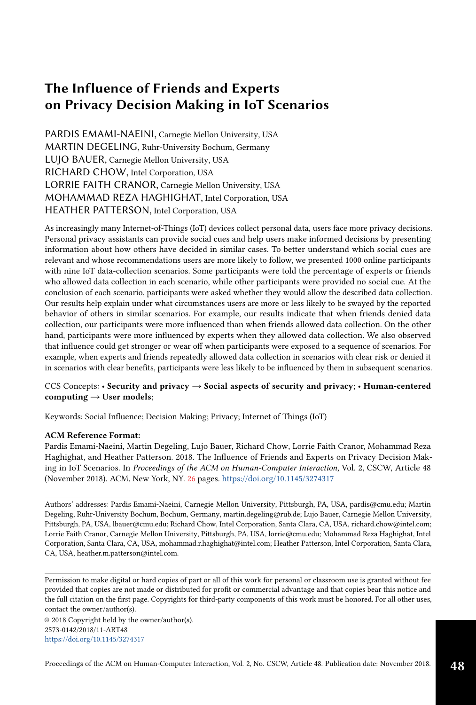# <span id="page-0-0"></span>The Influence of Friends and Experts on Privacy Decision Making in IoT Scenarios

PARDIS EMAMI-NAEINI, Carnegie Mellon University, USA MARTIN DEGELING, Ruhr-University Bochum, Germany LUJO BAUER, Carnegie Mellon University, USA RICHARD CHOW, Intel Corporation, USA LORRIE FAITH CRANOR, Carnegie Mellon University, USA MOHAMMAD REZA HAGHIGHAT, Intel Corporation, USA HEATHER PATTERSON, Intel Corporation, USA

As increasingly many Internet-of-Things (IoT) devices collect personal data, users face more privacy decisions. Personal privacy assistants can provide social cues and help users make informed decisions by presenting information about how others have decided in similar cases. To better understand which social cues are relevant and whose recommendations users are more likely to follow, we presented 1000 online participants with nine IoT data-collection scenarios. Some participants were told the percentage of experts or friends who allowed data collection in each scenario, while other participants were provided no social cue. At the conclusion of each scenario, participants were asked whether they would allow the described data collection. Our results help explain under what circumstances users are more or less likely to be swayed by the reported behavior of others in similar scenarios. For example, our results indicate that when friends denied data collection, our participants were more influenced than when friends allowed data collection. On the other hand, participants were more influenced by experts when they allowed data collection. We also observed that influence could get stronger or wear off when participants were exposed to a sequence of scenarios. For example, when experts and friends repeatedly allowed data collection in scenarios with clear risk or denied it in scenarios with clear benefits, participants were less likely to be influenced by them in subsequent scenarios.

### CCS Concepts: • Security and privacy → Social aspects of security and privacy; • Human-centered computing  $\rightarrow$  User models;

Keywords: Social Influence; Decision Making; Privacy; Internet of Things (IoT)

#### ACM Reference Format:

Pardis Emami-Naeini, Martin Degeling, Lujo Bauer, Richard Chow, Lorrie Faith Cranor, Mohammad Reza Haghighat, and Heather Patterson. 2018. The Influence of Friends and Experts on Privacy Decision Making in IoT Scenarios. In Proceedings of the ACM on Human-Computer Interaction, Vol. 2, CSCW, Article 48 (November 2018). ACM, New York, NY. [26](#page-25-0) pages. <https://doi.org/10.1145/3274317>

Authors' addresses: Pardis Emami-Naeini, Carnegie Mellon University, Pittsburgh, PA, USA, pardis@cmu.edu; Martin Degeling, Ruhr-University Bochum, Bochum, Germany, martin.degeling@rub.de; Lujo Bauer, Carnegie Mellon University, Pittsburgh, PA, USA, lbauer@cmu.edu; Richard Chow, Intel Corporation, Santa Clara, CA, USA, richard.chow@intel.com; Lorrie Faith Cranor, Carnegie Mellon University, Pittsburgh, PA, USA, lorrie@cmu.edu; Mohammad Reza Haghighat, Intel Corporation, Santa Clara, CA, USA, mohammad.r.haghighat@intel.com; Heather Patterson, Intel Corporation, Santa Clara, CA, USA, heather.m.patterson@intel.com.

Permission to make digital or hard copies of part or all of this work for personal or classroom use is granted without fee provided that copies are not made or distributed for profit or commercial advantage and that copies bear this notice and the full citation on the first page. Copyrights for third-party components of this work must be honored. For all other uses, contact the owner/author(s).

© 2018 Copyright held by the owner/author(s). 2573-0142/2018/11-ART48 <https://doi.org/10.1145/3274317>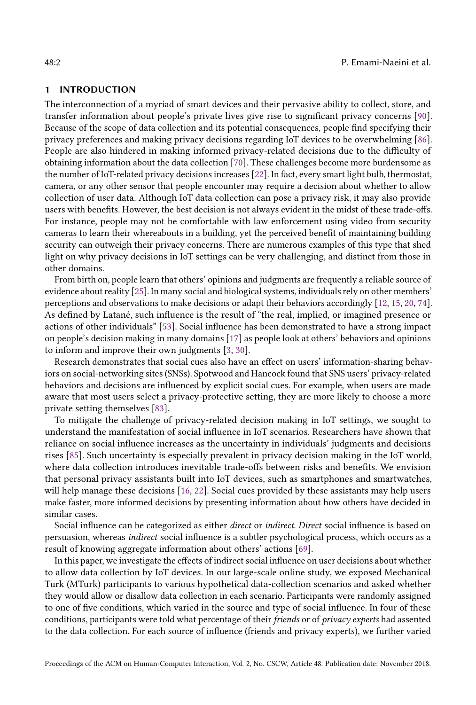#### 1 INTRODUCTION

The interconnection of a myriad of smart devices and their pervasive ability to collect, store, and transfer information about people's private lives give rise to significant privacy concerns [\[90\]](#page-22-0). Because of the scope of data collection and its potential consequences, people find specifying their privacy preferences and making privacy decisions regarding IoT devices to be overwhelming [\[86\]](#page-22-1). People are also hindered in making informed privacy-related decisions due to the difficulty of obtaining information about the data collection [\[70\]](#page-21-0). These challenges become more burdensome as the number of IoT-related privacy decisions increases [\[22\]](#page-19-0). In fact, every smart light bulb, thermostat, camera, or any other sensor that people encounter may require a decision about whether to allow collection of user data. Although IoT data collection can pose a privacy risk, it may also provide users with benefits. However, the best decision is not always evident in the midst of these trade-offs. For instance, people may not be comfortable with law enforcement using video from security cameras to learn their whereabouts in a building, yet the perceived benefit of maintaining building security can outweigh their privacy concerns. There are numerous examples of this type that shed light on why privacy decisions in IoT settings can be very challenging, and distinct from those in other domains.

From birth on, people learn that others' opinions and judgments are frequently a reliable source of evidence about reality [\[25\]](#page-19-1). In many social and biological systems, individuals rely on other members' perceptions and observations to make decisions or adapt their behaviors accordingly [\[12,](#page-19-2) [15,](#page-19-3) [20,](#page-19-4) [74\]](#page-21-1). As defined by Latané, such influence is the result of "the real, implied, or imagined presence or actions of other individuals" [\[53\]](#page-20-0). Social influence has been demonstrated to have a strong impact on people's decision making in many domains [\[17\]](#page-19-5) as people look at others' behaviors and opinions to inform and improve their own judgments [\[3,](#page-18-0) [30\]](#page-19-6).

Research demonstrates that social cues also have an effect on users' information-sharing behaviors on social-networking sites (SNSs). Spotwood and Hancock found that SNS users' privacy-related behaviors and decisions are influenced by explicit social cues. For example, when users are made aware that most users select a privacy-protective setting, they are more likely to choose a more private setting themselves [\[83\]](#page-21-2).

To mitigate the challenge of privacy-related decision making in IoT settings, we sought to understand the manifestation of social influence in IoT scenarios. Researchers have shown that reliance on social influence increases as the uncertainty in individuals' judgments and decisions rises [\[85\]](#page-21-3). Such uncertainty is especially prevalent in privacy decision making in the IoT world, where data collection introduces inevitable trade-offs between risks and benefits. We envision that personal privacy assistants built into IoT devices, such as smartphones and smartwatches, will help manage these decisions [\[16,](#page-19-7) [22\]](#page-19-0). Social cues provided by these assistants may help users make faster, more informed decisions by presenting information about how others have decided in similar cases.

Social influence can be categorized as either direct or indirect. Direct social influence is based on persuasion, whereas indirect social influence is a subtler psychological process, which occurs as a result of knowing aggregate information about others' actions [\[69\]](#page-21-4).

In this paper, we investigate the effects of indirect social influence on user decisions about whether to allow data collection by IoT devices. In our large-scale online study, we exposed Mechanical Turk (MTurk) participants to various hypothetical data-collection scenarios and asked whether they would allow or disallow data collection in each scenario. Participants were randomly assigned to one of five conditions, which varied in the source and type of social influence. In four of these conditions, participants were told what percentage of their friends or of privacy experts had assented to the data collection. For each source of influence (friends and privacy experts), we further varied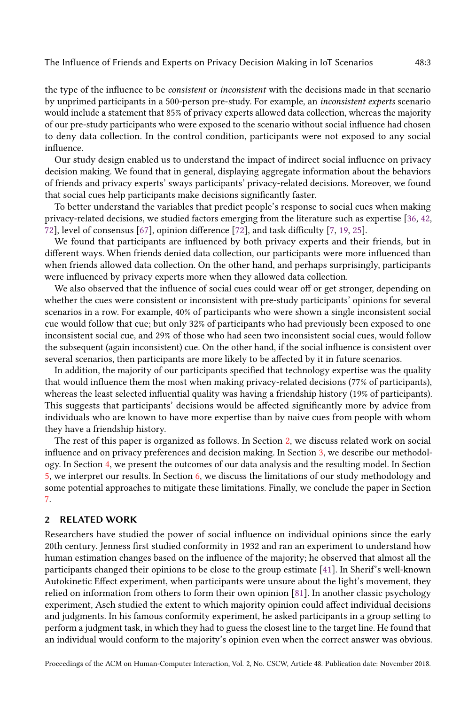the type of the influence to be consistent or inconsistent with the decisions made in that scenario by unprimed participants in a 500-person pre-study. For example, an inconsistent experts scenario would include a statement that 85% of privacy experts allowed data collection, whereas the majority of our pre-study participants who were exposed to the scenario without social influence had chosen to deny data collection. In the control condition, participants were not exposed to any social influence.

Our study design enabled us to understand the impact of indirect social influence on privacy decision making. We found that in general, displaying aggregate information about the behaviors of friends and privacy experts' sways participants' privacy-related decisions. Moreover, we found that social cues help participants make decisions significantly faster.

To better understand the variables that predict people's response to social cues when making privacy-related decisions, we studied factors emerging from the literature such as expertise [\[36,](#page-20-1) [42,](#page-20-2) [72\]](#page-21-5), level of consensus [\[67\]](#page-21-6), opinion difference [\[72\]](#page-21-5), and task difficulty [\[7,](#page-18-1) [19,](#page-19-8) [25\]](#page-19-1).

We found that participants are influenced by both privacy experts and their friends, but in different ways. When friends denied data collection, our participants were more influenced than when friends allowed data collection. On the other hand, and perhaps surprisingly, participants were influenced by privacy experts more when they allowed data collection.

We also observed that the influence of social cues could wear off or get stronger, depending on whether the cues were consistent or inconsistent with pre-study participants' opinions for several scenarios in a row. For example, 40% of participants who were shown a single inconsistent social cue would follow that cue; but only 32% of participants who had previously been exposed to one inconsistent social cue, and 29% of those who had seen two inconsistent social cues, would follow the subsequent (again inconsistent) cue. On the other hand, if the social influence is consistent over several scenarios, then participants are more likely to be affected by it in future scenarios.

In addition, the majority of our participants specified that technology expertise was the quality that would influence them the most when making privacy-related decisions (77% of participants), whereas the least selected influential quality was having a friendship history (19% of participants). This suggests that participants' decisions would be affected significantly more by advice from individuals who are known to have more expertise than by naive cues from people with whom they have a friendship history.

The rest of this paper is organized as follows. In Section [2,](#page-2-0) we discuss related work on social influence and on privacy preferences and decision making. In Section [3,](#page-4-0) we describe our methodology. In Section [4,](#page-8-0) we present the outcomes of our data analysis and the resulting model. In Section [5,](#page-14-0) we interpret our results. In Section [6,](#page-17-0) we discuss the limitations of our study methodology and some potential approaches to mitigate these limitations. Finally, we conclude the paper in Section [7.](#page-18-2)

#### <span id="page-2-0"></span>2 RELATED WORK

Researchers have studied the power of social influence on individual opinions since the early 20th century. Jenness first studied conformity in 1932 and ran an experiment to understand how human estimation changes based on the influence of the majority; he observed that almost all the participants changed their opinions to be close to the group estimate [\[41\]](#page-20-3). In Sherif's well-known Autokinetic Effect experiment, when participants were unsure about the light's movement, they relied on information from others to form their own opinion [\[81\]](#page-21-7). In another classic psychology experiment, Asch studied the extent to which majority opinion could affect individual decisions and judgments. In his famous conformity experiment, he asked participants in a group setting to perform a judgment task, in which they had to guess the closest line to the target line. He found that an individual would conform to the majority's opinion even when the correct answer was obvious.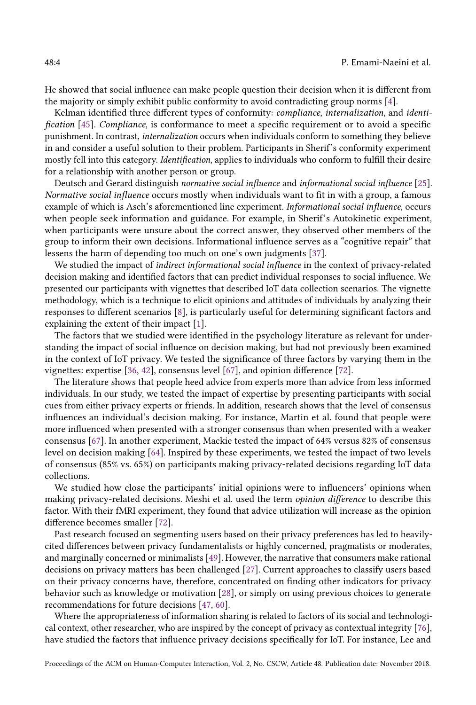He showed that social influence can make people question their decision when it is different from the majority or simply exhibit public conformity to avoid contradicting group norms [\[4\]](#page-18-3).

Kelman identified three different types of conformity: compliance, internalization, and identification [\[45\]](#page-20-4). Compliance, is conformance to meet a specific requirement or to avoid a specific punishment. In contrast, internalization occurs when individuals conform to something they believe in and consider a useful solution to their problem. Participants in Sherif's conformity experiment mostly fell into this category. Identification, applies to individuals who conform to fulfill their desire for a relationship with another person or group.

Deutsch and Gerard distinguish normative social influence and informational social influence [\[25\]](#page-19-1). Normative social influence occurs mostly when individuals want to fit in with a group, a famous example of which is Asch's aforementioned line experiment. Informational social influence, occurs when people seek information and guidance. For example, in Sherif's Autokinetic experiment, when participants were unsure about the correct answer, they observed other members of the group to inform their own decisions. Informational influence serves as a "cognitive repair" that lessens the harm of depending too much on one's own judgments [\[37\]](#page-20-5).

We studied the impact of *indirect informational social influence* in the context of privacy-related decision making and identified factors that can predict individual responses to social influence. We presented our participants with vignettes that described IoT data collection scenarios. The vignette methodology, which is a technique to elicit opinions and attitudes of individuals by analyzing their responses to different scenarios [\[8\]](#page-18-4), is particularly useful for determining significant factors and explaining the extent of their impact [\[1\]](#page-18-5).

The factors that we studied were identified in the psychology literature as relevant for understanding the impact of social influence on decision making, but had not previously been examined in the context of IoT privacy. We tested the significance of three factors by varying them in the vignettes: expertise [\[36,](#page-20-1) [42\]](#page-20-2), consensus level [\[67\]](#page-21-6), and opinion difference [\[72\]](#page-21-5).

The literature shows that people heed advice from experts more than advice from less informed individuals. In our study, we tested the impact of expertise by presenting participants with social cues from either privacy experts or friends. In addition, research shows that the level of consensus influences an individual's decision making. For instance, Martin et al. found that people were more influenced when presented with a stronger consensus than when presented with a weaker consensus [\[67\]](#page-21-6). In another experiment, Mackie tested the impact of 64% versus 82% of consensus level on decision making [\[64\]](#page-21-8). Inspired by these experiments, we tested the impact of two levels of consensus (85% vs. 65%) on participants making privacy-related decisions regarding IoT data collections.

We studied how close the participants' initial opinions were to influencers' opinions when making privacy-related decisions. Meshi et al. used the term opinion difference to describe this factor. With their fMRI experiment, they found that advice utilization will increase as the opinion difference becomes smaller [\[72\]](#page-21-5).

Past research focused on segmenting users based on their privacy preferences has led to heavilycited differences between privacy fundamentalists or highly concerned, pragmatists or moderates, and marginally concerned or minimalists [\[49\]](#page-20-6). However, the narrative that consumers make rational decisions on privacy matters has been challenged [\[27\]](#page-19-9). Current approaches to classify users based on their privacy concerns have, therefore, concentrated on finding other indicators for privacy behavior such as knowledge or motivation [\[28\]](#page-19-10), or simply on using previous choices to generate recommendations for future decisions [\[47,](#page-20-7) [60\]](#page-21-9).

Where the appropriateness of information sharing is related to factors of its social and technological context, other researcher, who are inspired by the concept of privacy as contextual integrity [\[76\]](#page-21-10), have studied the factors that influence privacy decisions specifically for IoT. For instance, Lee and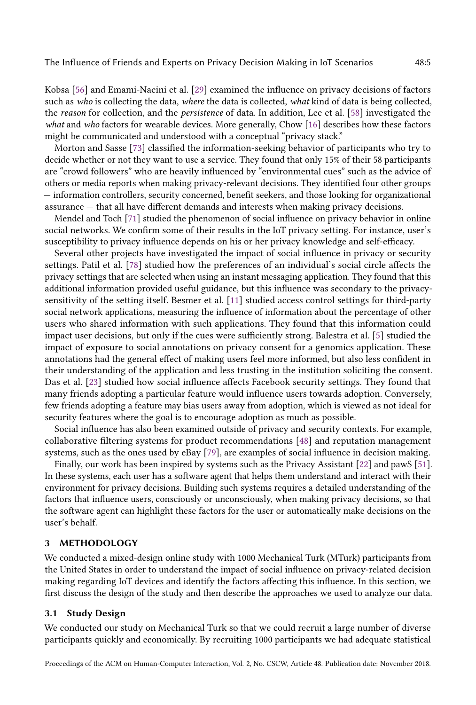Kobsa [\[56\]](#page-20-8) and Emami-Naeini et al. [\[29\]](#page-19-11) examined the influence on privacy decisions of factors such as who is collecting the data, where the data is collected, what kind of data is being collected, the reason for collection, and the persistence of data. In addition, Lee et al. [\[58\]](#page-20-9) investigated the what and who factors for wearable devices. More generally, Chow [\[16\]](#page-19-7) describes how these factors might be communicated and understood with a conceptual "privacy stack."

Morton and Sasse [\[73\]](#page-21-11) classified the information-seeking behavior of participants who try to decide whether or not they want to use a service. They found that only 15% of their 58 participants are "crowd followers" who are heavily influenced by "environmental cues" such as the advice of others or media reports when making privacy-relevant decisions. They identified four other groups — information controllers, security concerned, benefit seekers, and those looking for organizational assurance — that all have different demands and interests when making privacy decisions.

Mendel and Toch [\[71\]](#page-21-12) studied the phenomenon of social influence on privacy behavior in online social networks. We confirm some of their results in the IoT privacy setting. For instance, user's susceptibility to privacy influence depends on his or her privacy knowledge and self-efficacy.

Several other projects have investigated the impact of social influence in privacy or security settings. Patil et al. [\[78\]](#page-21-13) studied how the preferences of an individual's social circle affects the privacy settings that are selected when using an instant messaging application. They found that this additional information provided useful guidance, but this influence was secondary to the privacysensitivity of the setting itself. Besmer et al. [\[11\]](#page-19-12) studied access control settings for third-party social network applications, measuring the influence of information about the percentage of other users who shared information with such applications. They found that this information could impact user decisions, but only if the cues were sufficiently strong. Balestra et al. [\[5\]](#page-18-6) studied the impact of exposure to social annotations on privacy consent for a genomics application. These annotations had the general effect of making users feel more informed, but also less confident in their understanding of the application and less trusting in the institution soliciting the consent. Das et al. [\[23\]](#page-19-13) studied how social influence affects Facebook security settings. They found that many friends adopting a particular feature would influence users towards adoption. Conversely, few friends adopting a feature may bias users away from adoption, which is viewed as not ideal for security features where the goal is to encourage adoption as much as possible.

Social influence has also been examined outside of privacy and security contexts. For example, collaborative filtering systems for product recommendations [\[48\]](#page-20-10) and reputation management systems, such as the ones used by eBay [\[79\]](#page-21-14), are examples of social influence in decision making.

Finally, our work has been inspired by systems such as the Privacy Assistant [\[22\]](#page-19-0) and pawS [\[51\]](#page-20-11). In these systems, each user has a software agent that helps them understand and interact with their environment for privacy decisions. Building such systems requires a detailed understanding of the factors that influence users, consciously or unconsciously, when making privacy decisions, so that the software agent can highlight these factors for the user or automatically make decisions on the user's behalf.

#### <span id="page-4-0"></span>3 METHODOLOGY

We conducted a mixed-design online study with 1000 Mechanical Turk (MTurk) participants from the United States in order to understand the impact of social influence on privacy-related decision making regarding IoT devices and identify the factors affecting this influence. In this section, we first discuss the design of the study and then describe the approaches we used to analyze our data.

#### 3.1 Study Design

We conducted our study on Mechanical Turk so that we could recruit a large number of diverse participants quickly and economically. By recruiting 1000 participants we had adequate statistical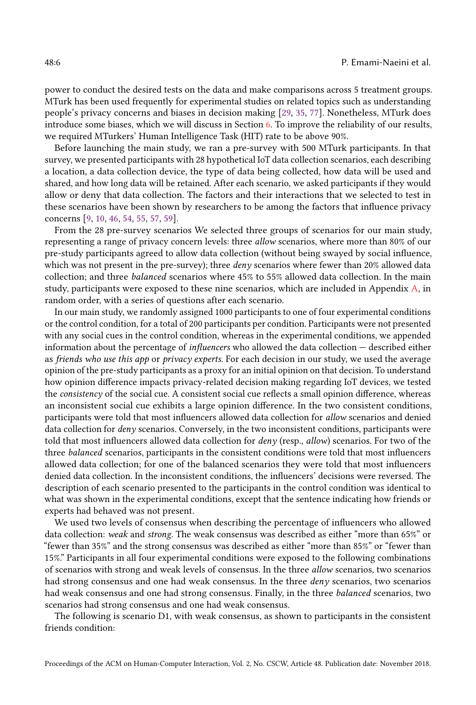power to conduct the desired tests on the data and make comparisons across 5 treatment groups. MTurk has been used frequently for experimental studies on related topics such as understanding people's privacy concerns and biases in decision making [\[29,](#page-19-11) [35,](#page-19-14) [77\]](#page-21-15). Nonetheless, MTurk does introduce some biases, which we will discuss in Section [6.](#page-17-0) To improve the reliability of our results, we required MTurkers' Human Intelligence Task (HIT) rate to be above 90%.

Before launching the main study, we ran a pre-survey with 500 MTurk participants. In that survey, we presented participants with 28 hypothetical IoT data collection scenarios, each describing a location, a data collection device, the type of data being collected, how data will be used and shared, and how long data will be retained. After each scenario, we asked participants if they would allow or deny that data collection. The factors and their interactions that we selected to test in these scenarios have been shown by researchers to be among the factors that influence privacy concerns [\[9,](#page-18-7) [10,](#page-19-15) [46,](#page-20-12) [54,](#page-20-13) [55,](#page-20-14) [57,](#page-20-15) [59\]](#page-20-16).

From the 28 pre-survey scenarios We selected three groups of scenarios for our main study, representing a range of privacy concern levels: three allow scenarios, where more than 80% of our pre-study participants agreed to allow data collection (without being swayed by social influence, which was not present in the pre-survey); three *deny* scenarios where fewer than 20% allowed data collection; and three balanced scenarios where 45% to 55% allowed data collection. In the main study, participants were exposed to these nine scenarios, which are included in Appendix [A,](#page-22-2) in random order, with a series of questions after each scenario.

In our main study, we randomly assigned 1000 participants to one of four experimental conditions or the control condition, for a total of 200 participants per condition. Participants were not presented with any social cues in the control condition, whereas in the experimental conditions, we appended information about the percentage of *influencers* who allowed the data collection  $-$  described either as friends who use this app or privacy experts. For each decision in our study, we used the average opinion of the pre-study participants as a proxy for an initial opinion on that decision. To understand how opinion difference impacts privacy-related decision making regarding IoT devices, we tested the consistency of the social cue. A consistent social cue reflects a small opinion difference, whereas an inconsistent social cue exhibits a large opinion difference. In the two consistent conditions, participants were told that most influencers allowed data collection for allow scenarios and denied data collection for deny scenarios. Conversely, in the two inconsistent conditions, participants were told that most influencers allowed data collection for deny (resp., allow) scenarios. For two of the three balanced scenarios, participants in the consistent conditions were told that most influencers allowed data collection; for one of the balanced scenarios they were told that most influencers denied data collection. In the inconsistent conditions, the influencers' decisions were reversed. The description of each scenario presented to the participants in the control condition was identical to what was shown in the experimental conditions, except that the sentence indicating how friends or experts had behaved was not present.

We used two levels of consensus when describing the percentage of influencers who allowed data collection: weak and strong. The weak consensus was described as either "more than 65%" or "fewer than 35%" and the strong consensus was described as either "more than 85%" or "fewer than 15%." Participants in all four experimental conditions were exposed to the following combinations of scenarios with strong and weak levels of consensus. In the three allow scenarios, two scenarios had strong consensus and one had weak consensus. In the three deny scenarios, two scenarios had weak consensus and one had strong consensus. Finally, in the three balanced scenarios, two scenarios had strong consensus and one had weak consensus.

The following is scenario D1, with weak consensus, as shown to participants in the consistent friends condition: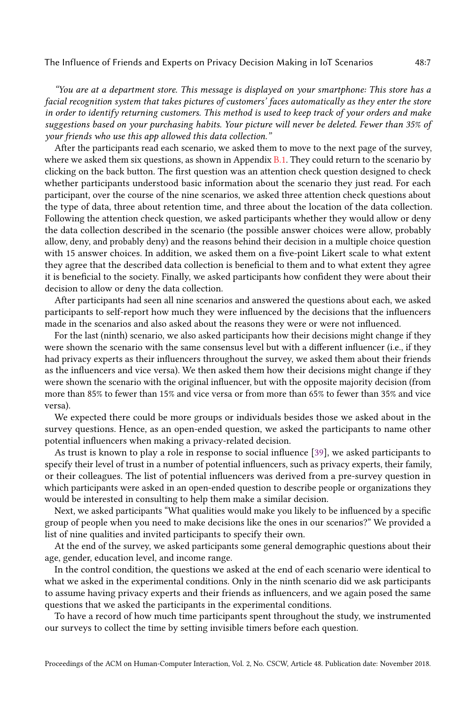"You are at a department store. This message is displayed on your smartphone: This store has a facial recognition system that takes pictures of customers' faces automatically as they enter the store in order to identify returning customers. This method is used to keep track of your orders and make suggestions based on your purchasing habits. Your picture will never be deleted. Fewer than 35% of your friends who use this app allowed this data collection."

After the participants read each scenario, we asked them to move to the next page of the survey, where we asked them six questions, as shown in Appendix  $B.1$ . They could return to the scenario by clicking on the back button. The first question was an attention check question designed to check whether participants understood basic information about the scenario they just read. For each participant, over the course of the nine scenarios, we asked three attention check questions about the type of data, three about retention time, and three about the location of the data collection. Following the attention check question, we asked participants whether they would allow or deny the data collection described in the scenario (the possible answer choices were allow, probably allow, deny, and probably deny) and the reasons behind their decision in a multiple choice question with 15 answer choices. In addition, we asked them on a five-point Likert scale to what extent they agree that the described data collection is beneficial to them and to what extent they agree it is beneficial to the society. Finally, we asked participants how confident they were about their decision to allow or deny the data collection.

After participants had seen all nine scenarios and answered the questions about each, we asked participants to self-report how much they were influenced by the decisions that the influencers made in the scenarios and also asked about the reasons they were or were not influenced.

For the last (ninth) scenario, we also asked participants how their decisions might change if they were shown the scenario with the same consensus level but with a different influencer (i.e., if they had privacy experts as their influencers throughout the survey, we asked them about their friends as the influencers and vice versa). We then asked them how their decisions might change if they were shown the scenario with the original influencer, but with the opposite majority decision (from more than 85% to fewer than 15% and vice versa or from more than 65% to fewer than 35% and vice versa).

We expected there could be more groups or individuals besides those we asked about in the survey questions. Hence, as an open-ended question, we asked the participants to name other potential influencers when making a privacy-related decision.

As trust is known to play a role in response to social influence [\[39\]](#page-20-17), we asked participants to specify their level of trust in a number of potential influencers, such as privacy experts, their family, or their colleagues. The list of potential influencers was derived from a pre-survey question in which participants were asked in an open-ended question to describe people or organizations they would be interested in consulting to help them make a similar decision.

Next, we asked participants "What qualities would make you likely to be influenced by a specific group of people when you need to make decisions like the ones in our scenarios?" We provided a list of nine qualities and invited participants to specify their own.

At the end of the survey, we asked participants some general demographic questions about their age, gender, education level, and income range.

In the control condition, the questions we asked at the end of each scenario were identical to what we asked in the experimental conditions. Only in the ninth scenario did we ask participants to assume having privacy experts and their friends as influencers, and we again posed the same questions that we asked the participants in the experimental conditions.

To have a record of how much time participants spent throughout the study, we instrumented our surveys to collect the time by setting invisible timers before each question.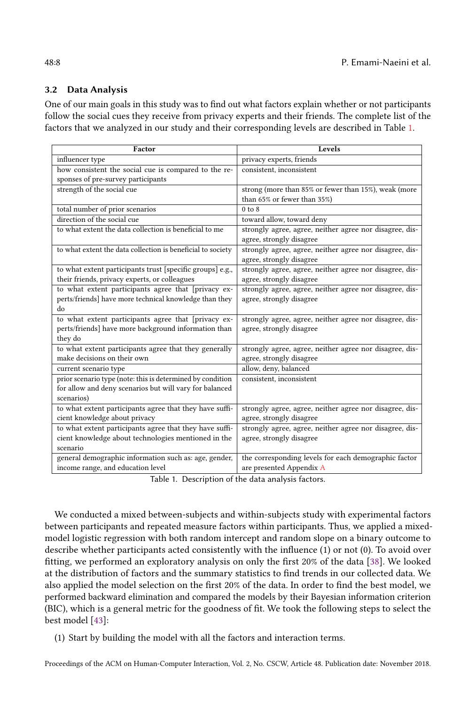# 3.2 Data Analysis

One of our main goals in this study was to find out what factors explain whether or not participants follow the social cues they receive from privacy experts and their friends. The complete list of the factors that we analyzed in our study and their corresponding levels are described in Table [1.](#page-7-0)

<span id="page-7-0"></span>

| Factor                                                      | Levels                                                  |
|-------------------------------------------------------------|---------------------------------------------------------|
| influencer type                                             | privacy experts, friends                                |
| how consistent the social cue is compared to the re-        | consistent, inconsistent                                |
| sponses of pre-survey participants                          |                                                         |
| strength of the social cue                                  | strong (more than 85% or fewer than 15%), weak (more    |
|                                                             | than 65% or fewer than 35%)                             |
| total number of prior scenarios                             | $0$ to $8$                                              |
| direction of the social cue                                 | toward allow, toward deny                               |
| to what extent the data collection is beneficial to me      | strongly agree, agree, neither agree nor disagree, dis- |
|                                                             | agree, strongly disagree                                |
| to what extent the data collection is beneficial to society | strongly agree, agree, neither agree nor disagree, dis- |
|                                                             | agree, strongly disagree                                |
| to what extent participants trust [specific groups] e.g.,   | strongly agree, agree, neither agree nor disagree, dis- |
| their friends, privacy experts, or colleagues               | agree, strongly disagree                                |
| to what extent participants agree that [privacy ex-         | strongly agree, agree, neither agree nor disagree, dis- |
| perts/friends] have more technical knowledge than they      | agree, strongly disagree                                |
| do                                                          |                                                         |
| to what extent participants agree that [privacy ex-         | strongly agree, agree, neither agree nor disagree, dis- |
| perts/friends] have more background information than        | agree, strongly disagree                                |
| they do                                                     |                                                         |
| to what extent participants agree that they generally       | strongly agree, agree, neither agree nor disagree, dis- |
| make decisions on their own                                 | agree, strongly disagree                                |
| current scenario type                                       | allow, deny, balanced                                   |
| prior scenario type (note: this is determined by condition  | consistent, inconsistent                                |
| for allow and deny scenarios but will vary for balanced     |                                                         |
| scenarios)                                                  |                                                         |
| to what extent participants agree that they have suffi-     | strongly agree, agree, neither agree nor disagree, dis- |
| cient knowledge about privacy                               | agree, strongly disagree                                |
| to what extent participants agree that they have suffi-     | strongly agree, agree, neither agree nor disagree, dis- |
| cient knowledge about technologies mentioned in the         | agree, strongly disagree                                |
| scenario                                                    |                                                         |
| general demographic information such as: age, gender,       | the corresponding levels for each demographic factor    |
| income range, and education level                           | are presented Appendix A                                |

Table 1. Description of the data analysis factors.

We conducted a mixed between-subjects and within-subjects study with experimental factors between participants and repeated measure factors within participants. Thus, we applied a mixedmodel logistic regression with both random intercept and random slope on a binary outcome to describe whether participants acted consistently with the influence (1) or not (0). To avoid over fitting, we performed an exploratory analysis on only the first 20% of the data [\[38\]](#page-20-18). We looked at the distribution of factors and the summary statistics to find trends in our collected data. We also applied the model selection on the first 20% of the data. In order to find the best model, we performed backward elimination and compared the models by their Bayesian information criterion (BIC), which is a general metric for the goodness of fit. We took the following steps to select the best model [\[43\]](#page-20-19):

(1) Start by building the model with all the factors and interaction terms.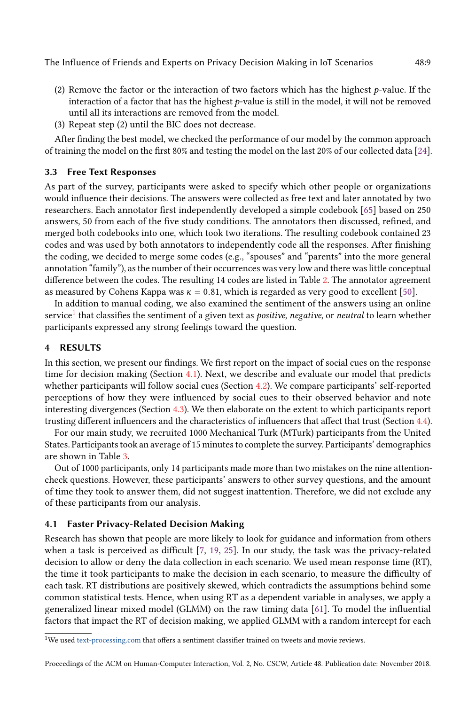- (2) Remove the factor or the interaction of two factors which has the highest  $p$ -value. If the interaction of a factor that has the highest  $p$ -value is still in the model, it will not be removed until all its interactions are removed from the model.
- (3) Repeat step (2) until the BIC does not decrease.

After finding the best model, we checked the performance of our model by the common approach of training the model on the first 80% and testing the model on the last 20% of our collected data [\[24\]](#page-19-16).

#### <span id="page-8-2"></span>3.3 Free Text Responses

As part of the survey, participants were asked to specify which other people or organizations would influence their decisions. The answers were collected as free text and later annotated by two researchers. Each annotator first independently developed a simple codebook [\[65\]](#page-21-16) based on 250 answers, 50 from each of the five study conditions. The annotators then discussed, refined, and merged both codebooks into one, which took two iterations. The resulting codebook contained 23 codes and was used by both annotators to independently code all the responses. After finishing the coding, we decided to merge some codes (e.g., "spouses" and "parents" into the more general annotation "family"), as the number of their occurrences was very low and there was little conceptual difference between the codes. The resulting 14 codes are listed in Table [2.](#page-9-0) The annotator agreement as measured by Cohens Kappa was  $\kappa = 0.81$ , which is regarded as very good to excellent [\[50\]](#page-20-20).

In addition to manual coding, we also examined the sentiment of the answers using an online service<sup>[1](#page-0-0)</sup> that classifies the sentiment of a given text as *positive, negative,* or *neutral* to learn whether participants expressed any strong feelings toward the question.

### <span id="page-8-0"></span>4 RESULTS

In this section, we present our findings. We first report on the impact of social cues on the response time for decision making (Section [4.1\)](#page-8-1). Next, we describe and evaluate our model that predicts whether participants will follow social cues (Section [4.2\)](#page-10-0). We compare participants' self-reported perceptions of how they were influenced by social cues to their observed behavior and note interesting divergences (Section [4.3\)](#page-11-0). We then elaborate on the extent to which participants report trusting different influencers and the characteristics of influencers that affect that trust (Section [4.4\)](#page-12-0).

For our main study, we recruited 1000 Mechanical Turk (MTurk) participants from the United States. Participants took an average of 15 minutes to complete the survey. Participants' demographics are shown in Table [3.](#page-9-1)

Out of 1000 participants, only 14 participants made more than two mistakes on the nine attentioncheck questions. However, these participants' answers to other survey questions, and the amount of time they took to answer them, did not suggest inattention. Therefore, we did not exclude any of these participants from our analysis.

### <span id="page-8-1"></span>4.1 Faster Privacy-Related Decision Making

Research has shown that people are more likely to look for guidance and information from others when a task is perceived as difficult [\[7,](#page-18-1) [19,](#page-19-8) [25\]](#page-19-1). In our study, the task was the privacy-related decision to allow or deny the data collection in each scenario. We used mean response time (RT), the time it took participants to make the decision in each scenario, to measure the difficulty of each task. RT distributions are positively skewed, which contradicts the assumptions behind some common statistical tests. Hence, when using RT as a dependent variable in analyses, we apply a generalized linear mixed model (GLMM) on the raw timing data [\[61\]](#page-21-17). To model the influential factors that impact the RT of decision making, we applied GLMM with a random intercept for each

<sup>&</sup>lt;sup>1</sup>We used [text-processing.com](http://text-processing.com/) that offers a sentiment classifier trained on tweets and movie reviews.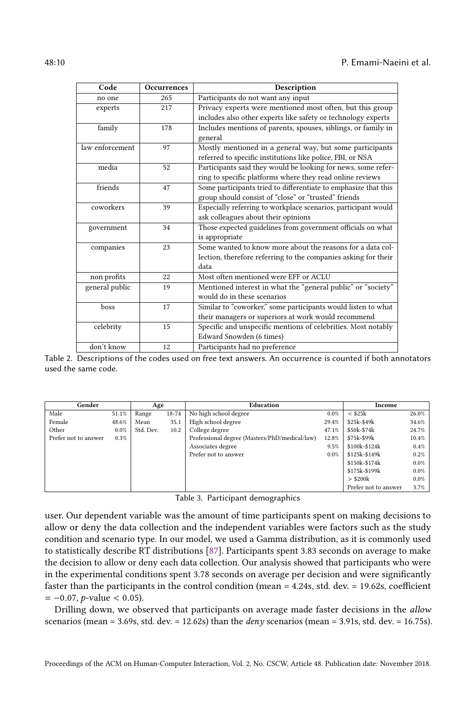<span id="page-9-0"></span>

| Code            | Occurrences | Description                                                     |
|-----------------|-------------|-----------------------------------------------------------------|
| no one          | 265         | Participants do not want any input                              |
| experts         | 217         | Privacy experts were mentioned most often, but this group       |
|                 |             | includes also other experts like safety or technology experts   |
| family          | 178         | Includes mentions of parents, spouses, siblings, or family in   |
|                 |             | general                                                         |
| law enforcement | 97          | Mostly mentioned in a general way, but some participants        |
|                 |             | referred to specific institutions like police, FBI, or NSA      |
| media           | 52          | Participants said they would be looking for news, some refer-   |
|                 |             | ring to specific platforms where they read online reviews       |
| friends         | 47          | Some participants tried to differentiate to emphasize that this |
|                 |             | group should consist of "close" or "trusted" friends            |
| coworkers       | 39          | Especially referring to workplace scenarios, participant would  |
|                 |             | ask colleagues about their opinions                             |
| government      | 34          | Those expected guidelines from government officials on what     |
|                 |             | is appropriate                                                  |
| companies       | 23          | Some wanted to know more about the reasons for a data col-      |
|                 |             | lection, therefore referring to the companies asking for their  |
|                 |             | data                                                            |
| non profits     | 22          | Most often mentioned were EFF or ACLU                           |
| general public  | 19          | Mentioned interest in what the "general public" or "society"    |
|                 |             | would do in these scenarios                                     |
| boss            | 17          | Similar to "coworker," some participants would listen to what   |
|                 |             | their managers or superiors at work would recommend             |
| celebrity       | 15          | Specific and unspecific mentions of celebrities. Most notably   |
|                 |             | Edward Snowden (6 times)                                        |
| don't know      | 12          | Participants had no preference                                  |

Table 2. Descriptions of the codes used on free text answers. An occurrence is counted if both annotators used the same code.

<span id="page-9-1"></span>

| Gender<br>Age        |       | Education | Income    |                                               |       |                      |          |
|----------------------|-------|-----------|-----------|-----------------------------------------------|-------|----------------------|----------|
| Male                 | 51.1% | Range     | $18 - 74$ | No high school degree                         | 0.0%  | $<$ \$25 $k$         | $26.0\%$ |
| Female               | 48.6% | Mean      | 35.1      | High school degree                            | 29.4% | \$25k-\$49k          | $34.6\%$ |
| Other                | 0.0%  | Std. Dev. | 10.2      | College degree                                | 47.1% | \$50k-\$74k          | 24.7%    |
| Prefer not to answer | 0.3%  |           |           | Professional degree (Masters/PhD/medical/law) | 12.8% | \$75k-\$99k          | $10.4\%$ |
|                      |       |           |           | Associates degree                             | 9.5%  | \$100k-\$124k        | $0.4\%$  |
|                      |       |           |           | Prefer not to answer                          | 0.0%  | \$125k-\$149k        | $0.2\%$  |
|                      |       |           |           |                                               |       | \$150k-\$174k        | $0.0\%$  |
|                      |       |           |           |                                               |       | \$175k-\$199k        | $0.0\%$  |
|                      |       |           |           |                                               |       | $>$ \$200 $k$        | $0.0\%$  |
|                      |       |           |           |                                               |       | Prefer not to answer | 3.7%     |

Table 3. Participant demographics

user. Our dependent variable was the amount of time participants spent on making decisions to allow or deny the data collection and the independent variables were factors such as the study condition and scenario type. In our model, we used a Gamma distribution, as it is commonly used to statistically describe RT distributions [\[87\]](#page-22-3). Participants spent 3.83 seconds on average to make the decision to allow or deny each data collection. Our analysis showed that participants who were in the experimental conditions spent 3.78 seconds on average per decision and were significantly faster than the participants in the control condition (mean = 4.24s, std. dev. = 19.62s, coefficient  $= -0.07$ , *p*-value < 0.05).

Drilling down, we observed that participants on average made faster decisions in the allow scenarios (mean = 3.69s, std. dev. = 12.62s) than the *deny* scenarios (mean = 3.91s, std. dev. = 16.75s).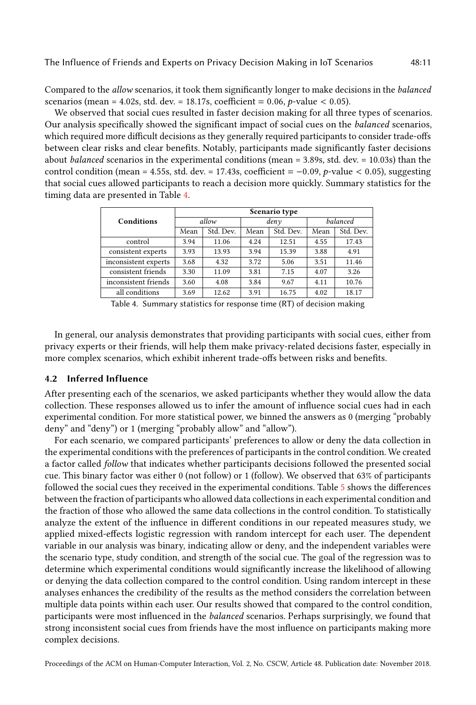Compared to the allow scenarios, it took them significantly longer to make decisions in the balanced scenarios (mean = 4.02s, std. dev. = 18.17s, coefficient = 0.06,  $p$ -value < 0.05).

We observed that social cues resulted in faster decision making for all three types of scenarios. Our analysis specifically showed the significant impact of social cues on the balanced scenarios, which required more difficult decisions as they generally required participants to consider trade-offs between clear risks and clear benefits. Notably, participants made significantly faster decisions about balanced scenarios in the experimental conditions (mean = 3.89s, std. dev. = 10.03s) than the control condition (mean = 4.55s, std. dev. = 17.43s, coefficient =  $-0.09$ , p-value < 0.05), suggesting that social cues allowed participants to reach a decision more quickly. Summary statistics for the timing data are presented in Table [4.](#page-10-1)

<span id="page-10-1"></span>

|                      | Scenario type |           |      |           |          |           |  |  |
|----------------------|---------------|-----------|------|-----------|----------|-----------|--|--|
| Conditions           | allow         |           |      | denv      | balanced |           |  |  |
|                      | Mean          | Std. Dev. | Mean | Std. Dev. | Mean     | Std. Dev. |  |  |
| control              | 3.94          | 11.06     | 4.24 | 12.51     | 4.55     | 17.43     |  |  |
| consistent experts   | 3.93          | 13.93     | 3.94 | 15.39     | 3.88     | 4.91      |  |  |
| inconsistent experts | 3.68          | 4.32      | 3.72 | 5.06      | 3.51     | 11.46     |  |  |
| consistent friends   | 3.30          | 11.09     | 3.81 | 7.15      | 4.07     | 3.26      |  |  |
| inconsistent friends | 3.60          | 4.08      | 3.84 | 9.67      | 4.11     | 10.76     |  |  |
| all conditions       | 3.69          | 12.62     | 3.91 | 16.75     | 4.02     | 18.17     |  |  |

Table 4. Summary statistics for response time (RT) of decision making

In general, our analysis demonstrates that providing participants with social cues, either from privacy experts or their friends, will help them make privacy-related decisions faster, especially in more complex scenarios, which exhibit inherent trade-offs between risks and benefits.

#### <span id="page-10-0"></span>4.2 Inferred Influence

After presenting each of the scenarios, we asked participants whether they would allow the data collection. These responses allowed us to infer the amount of influence social cues had in each experimental condition. For more statistical power, we binned the answers as 0 (merging "probably deny" and "deny") or 1 (merging "probably allow" and "allow").

For each scenario, we compared participants' preferences to allow or deny the data collection in the experimental conditions with the preferences of participants in the control condition. We created a factor called follow that indicates whether participants decisions followed the presented social cue. This binary factor was either 0 (not follow) or 1 (follow). We observed that 63% of participants followed the social cues they received in the experimental conditions. Table [5](#page-11-1) shows the differences between the fraction of participants who allowed data collections in each experimental condition and the fraction of those who allowed the same data collections in the control condition. To statistically analyze the extent of the influence in different conditions in our repeated measures study, we applied mixed-effects logistic regression with random intercept for each user. The dependent variable in our analysis was binary, indicating allow or deny, and the independent variables were the scenario type, study condition, and strength of the social cue. The goal of the regression was to determine which experimental conditions would significantly increase the likelihood of allowing or denying the data collection compared to the control condition. Using random intercept in these analyses enhances the credibility of the results as the method considers the correlation between multiple data points within each user. Our results showed that compared to the control condition, participants were most influenced in the balanced scenarios. Perhaps surprisingly, we found that strong inconsistent social cues from friends have the most influence on participants making more complex decisions.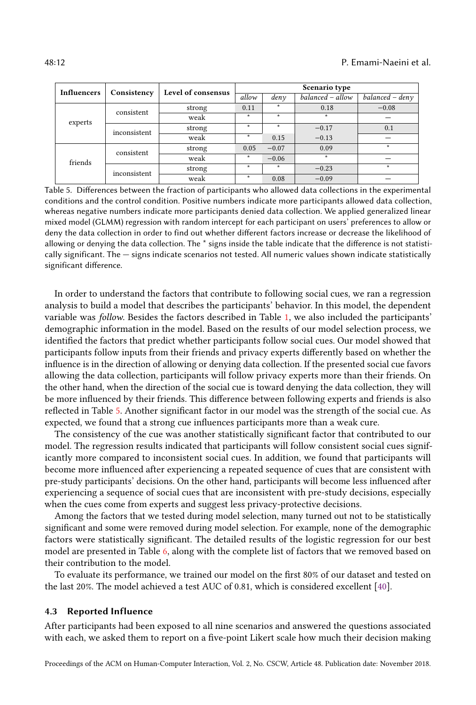<span id="page-11-1"></span>

| Influencers | Consistency  | Level of consensus | Scenario type |         |                    |                   |  |
|-------------|--------------|--------------------|---------------|---------|--------------------|-------------------|--|
|             |              |                    | allow         | deny    | $balanced - allow$ | $balanced - deny$ |  |
| experts     | consistent   | strong             | 0.11          | $\star$ | 0.18               | $-0.08$           |  |
|             |              | weak               | $\star$       | $\star$ | $\star$            |                   |  |
|             | inconsistent | strong             | $\star$       | $\star$ | $-0.17$            | 0.1               |  |
|             |              | weak               | $\star$       | 0.15    | $-0.13$            |                   |  |
| friends     | consistent   | strong             | 0.05          | $-0.07$ | 0.09               | $\star$           |  |
|             |              | weak               | $\star$       | $-0.06$ | $\star$            |                   |  |
|             | inconsistent | strong             | $\star$       | $\star$ | $-0.23$            | $\star$           |  |
|             |              | weak               | $\star$       | 0.08    | $-0.09$            |                   |  |

Table 5. Differences between the fraction of participants who allowed data collections in the experimental conditions and the control condition. Positive numbers indicate more participants allowed data collection, whereas negative numbers indicate more participants denied data collection. We applied generalized linear mixed model (GLMM) regression with random intercept for each participant on users' preferences to allow or deny the data collection in order to find out whether different factors increase or decrease the likelihood of allowing or denying the data collection. The \* signs inside the table indicate that the difference is not statistically significant. The — signs indicate scenarios not tested. All numeric values shown indicate statistically significant difference.

In order to understand the factors that contribute to following social cues, we ran a regression analysis to build a model that describes the participants' behavior. In this model, the dependent variable was follow. Besides the factors described in Table [1,](#page-7-0) we also included the participants' demographic information in the model. Based on the results of our model selection process, we identified the factors that predict whether participants follow social cues. Our model showed that participants follow inputs from their friends and privacy experts differently based on whether the influence is in the direction of allowing or denying data collection. If the presented social cue favors allowing the data collection, participants will follow privacy experts more than their friends. On the other hand, when the direction of the social cue is toward denying the data collection, they will be more influenced by their friends. This difference between following experts and friends is also reflected in Table [5.](#page-11-1) Another significant factor in our model was the strength of the social cue. As expected, we found that a strong cue influences participants more than a weak cure.

The consistency of the cue was another statistically significant factor that contributed to our model. The regression results indicated that participants will follow consistent social cues significantly more compared to inconsistent social cues. In addition, we found that participants will become more influenced after experiencing a repeated sequence of cues that are consistent with pre-study participants' decisions. On the other hand, participants will become less influenced after experiencing a sequence of social cues that are inconsistent with pre-study decisions, especially when the cues come from experts and suggest less privacy-protective decisions.

Among the factors that we tested during model selection, many turned out not to be statistically significant and some were removed during model selection. For example, none of the demographic factors were statistically significant. The detailed results of the logistic regression for our best model are presented in Table [6,](#page-12-1) along with the complete list of factors that we removed based on their contribution to the model.

To evaluate its performance, we trained our model on the first 80% of our dataset and tested on the last 20%. The model achieved a test AUC of 0.81, which is considered excellent [\[40\]](#page-20-21).

#### <span id="page-11-0"></span>4.3 Reported Influence

After participants had been exposed to all nine scenarios and answered the questions associated with each, we asked them to report on a five-point Likert scale how much their decision making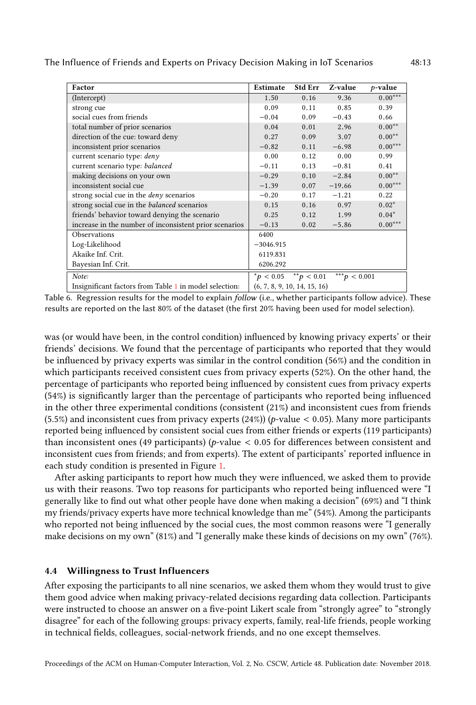<span id="page-12-1"></span>The Influence of Friends and Experts on Privacy Decision Making in IoT Scenarios 48:13

| Factor                                                 | Estimate     | Std Err                      | Z-value                    | $p$ -value |
|--------------------------------------------------------|--------------|------------------------------|----------------------------|------------|
| (Intercept)                                            | 1.50         | 0.16                         | 9.36                       | $0.00***$  |
| strong cue                                             | 0.09         | 0.11                         | 0.85                       | 0.39       |
| social cues from friends                               | $-0.04$      | 0.09                         | $-0.43$                    | 0.66       |
| total number of prior scenarios                        | 0.04         | 0.01                         | 2.96                       | $0.00**$   |
| direction of the cue: toward deny                      | 0.27         | 0.09                         | 3.07                       | $0.00**$   |
| inconsistent prior scenarios                           | $-0.82$      | 0.11                         | $-6.98$                    | $0.00***$  |
| current scenario type: $deny$                          | 0.00         | 0.12                         | 0.00                       | 0.99       |
| current scenario type: balanced                        | $-0.11$      | 0.13                         | $-0.81$                    | 0.41       |
| making decisions on your own                           | $-0.29$      | 0.10                         | $-2.84$                    | $0.00**$   |
| inconsistent social cue                                | $-1.39$      | 0.07                         | $-19.66$                   | $0.00***$  |
| strong social cue in the $deny$ scenarios              | $-0.20$      | 0.17                         | $-1.21$                    | 0.22       |
| strong social cue in the <i>balanced</i> scenarios     | 0.15         | 0.16                         | 0.97                       | $0.02*$    |
| friends' behavior toward denying the scenario          | 0.25         | 0.12                         | 1.99                       | $0.04*$    |
| increase in the number of inconsistent prior scenarios | $-0.13$      | 0.02                         | $-5.86$                    | $0.00***$  |
| Observations                                           | 6400         |                              |                            |            |
| Log-Likelihood                                         | $-3046.915$  |                              |                            |            |
| Akaike Inf. Crit.                                      | 6119.831     |                              |                            |            |
| Bayesian Inf. Crit.                                    | 6206.292     |                              |                            |            |
| Note:                                                  | $^*p < 0.05$ | ** $p < 0.01$                | $\sqrt{1+x^2 + p} < 0.001$ |            |
| Insignificant factors from Table 1 in model selection: |              | (6, 7, 8, 9, 10, 14, 15, 16) |                            |            |

Table 6. Regression results for the model to explain follow (i.e., whether participants follow advice). These results are reported on the last 80% of the dataset (the first 20% having been used for model selection).

was (or would have been, in the control condition) influenced by knowing privacy experts' or their friends' decisions. We found that the percentage of participants who reported that they would be influenced by privacy experts was similar in the control condition (56%) and the condition in which participants received consistent cues from privacy experts (52%). On the other hand, the percentage of participants who reported being influenced by consistent cues from privacy experts (54%) is significantly larger than the percentage of participants who reported being influenced in the other three experimental conditions (consistent (21%) and inconsistent cues from friends (5.5%) and inconsistent cues from privacy experts (24%)) (*p*-value  $\lt$  0.05). Many more participants reported being influenced by consistent social cues from either friends or experts (119 participants) than inconsistent ones (49 participants) ( $p$ -value  $<$  0.05 for differences between consistent and inconsistent cues from friends; and from experts). The extent of participants' reported influence in each study condition is presented in Figure [1.](#page-13-0)

After asking participants to report how much they were influenced, we asked them to provide us with their reasons. Two top reasons for participants who reported being influenced were "I generally like to find out what other people have done when making a decision" (69%) and "I think my friends/privacy experts have more technical knowledge than me" (54%). Among the participants who reported not being influenced by the social cues, the most common reasons were "I generally make decisions on my own" (81%) and "I generally make these kinds of decisions on my own" (76%).

### <span id="page-12-0"></span>4.4 Willingness to Trust Influencers

After exposing the participants to all nine scenarios, we asked them whom they would trust to give them good advice when making privacy-related decisions regarding data collection. Participants were instructed to choose an answer on a five-point Likert scale from "strongly agree" to "strongly disagree" for each of the following groups: privacy experts, family, real-life friends, people working in technical fields, colleagues, social-network friends, and no one except themselves.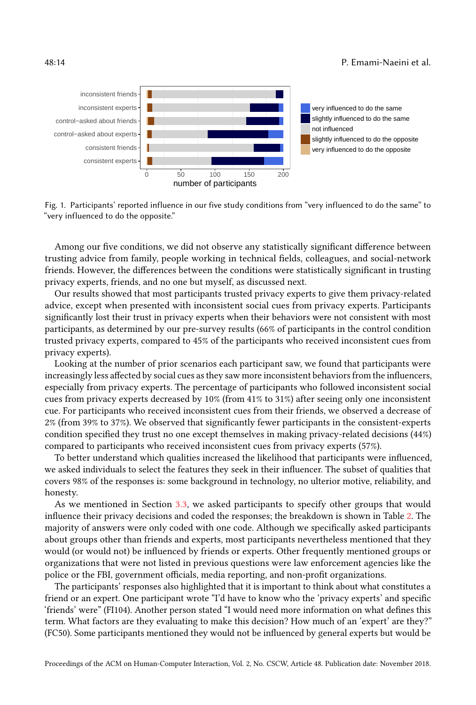<span id="page-13-0"></span>



Among our five conditions, we did not observe any statistically significant difference between trusting advice from family, people working in technical fields, colleagues, and social-network friends. However, the differences between the conditions were statistically significant in trusting privacy experts, friends, and no one but myself, as discussed next.

Our results showed that most participants trusted privacy experts to give them privacy-related advice, except when presented with inconsistent social cues from privacy experts. Participants significantly lost their trust in privacy experts when their behaviors were not consistent with most participants, as determined by our pre-survey results (66% of participants in the control condition trusted privacy experts, compared to 45% of the participants who received inconsistent cues from privacy experts).

Looking at the number of prior scenarios each participant saw, we found that participants were increasingly less affected by social cues as they saw more inconsistent behaviors from the influencers, especially from privacy experts. The percentage of participants who followed inconsistent social cues from privacy experts decreased by 10% (from 41% to 31%) after seeing only one inconsistent cue. For participants who received inconsistent cues from their friends, we observed a decrease of 2% (from 39% to 37%). We observed that significantly fewer participants in the consistent-experts condition specified they trust no one except themselves in making privacy-related decisions (44%) compared to participants who received inconsistent cues from privacy experts (57%).

To better understand which qualities increased the likelihood that participants were influenced, we asked individuals to select the features they seek in their influencer. The subset of qualities that covers 98% of the responses is: some background in technology, no ulterior motive, reliability, and honesty.

As we mentioned in Section [3.3,](#page-8-2) we asked participants to specify other groups that would influence their privacy decisions and coded the responses; the breakdown is shown in Table [2.](#page-9-0) The majority of answers were only coded with one code. Although we specifically asked participants about groups other than friends and experts, most participants nevertheless mentioned that they would (or would not) be influenced by friends or experts. Other frequently mentioned groups or organizations that were not listed in previous questions were law enforcement agencies like the police or the FBI, government officials, media reporting, and non-profit organizations.

The participants' responses also highlighted that it is important to think about what constitutes a friend or an expert. One participant wrote "I'd have to know who the 'privacy experts' and specific 'friends' were" (FI104). Another person stated "I would need more information on what defines this term. What factors are they evaluating to make this decision? How much of an 'expert' are they?" (FC50). Some participants mentioned they would not be influenced by general experts but would be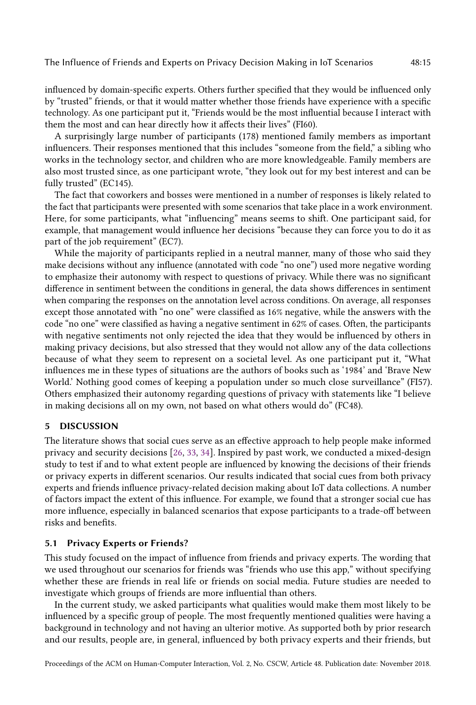influenced by domain-specific experts. Others further specified that they would be influenced only by "trusted" friends, or that it would matter whether those friends have experience with a specific technology. As one participant put it, "Friends would be the most influential because I interact with them the most and can hear directly how it affects their lives" (FI60).

A surprisingly large number of participants (178) mentioned family members as important influencers. Their responses mentioned that this includes "someone from the field," a sibling who works in the technology sector, and children who are more knowledgeable. Family members are also most trusted since, as one participant wrote, "they look out for my best interest and can be fully trusted" (EC145).

The fact that coworkers and bosses were mentioned in a number of responses is likely related to the fact that participants were presented with some scenarios that take place in a work environment. Here, for some participants, what "influencing" means seems to shift. One participant said, for example, that management would influence her decisions "because they can force you to do it as part of the job requirement" (EC7).

While the majority of participants replied in a neutral manner, many of those who said they make decisions without any influence (annotated with code "no one") used more negative wording to emphasize their autonomy with respect to questions of privacy. While there was no significant difference in sentiment between the conditions in general, the data shows differences in sentiment when comparing the responses on the annotation level across conditions. On average, all responses except those annotated with "no one" were classified as 16% negative, while the answers with the code "no one" were classified as having a negative sentiment in 62% of cases. Often, the participants with negative sentiments not only rejected the idea that they would be influenced by others in making privacy decisions, but also stressed that they would not allow any of the data collections because of what they seem to represent on a societal level. As one participant put it, "What influences me in these types of situations are the authors of books such as '1984' and 'Brave New World.' Nothing good comes of keeping a population under so much close surveillance" (FI57). Others emphasized their autonomy regarding questions of privacy with statements like "I believe in making decisions all on my own, not based on what others would do" (FC48).

#### <span id="page-14-0"></span>5 DISCUSSION

The literature shows that social cues serve as an effective approach to help people make informed privacy and security decisions [\[26,](#page-19-17) [33,](#page-19-18) [34\]](#page-19-19). Inspired by past work, we conducted a mixed-design study to test if and to what extent people are influenced by knowing the decisions of their friends or privacy experts in different scenarios. Our results indicated that social cues from both privacy experts and friends influence privacy-related decision making about IoT data collections. A number of factors impact the extent of this influence. For example, we found that a stronger social cue has more influence, especially in balanced scenarios that expose participants to a trade-off between risks and benefits.

#### 5.1 Privacy Experts or Friends?

This study focused on the impact of influence from friends and privacy experts. The wording that we used throughout our scenarios for friends was "friends who use this app," without specifying whether these are friends in real life or friends on social media. Future studies are needed to investigate which groups of friends are more influential than others.

In the current study, we asked participants what qualities would make them most likely to be influenced by a specific group of people. The most frequently mentioned qualities were having a background in technology and not having an ulterior motive. As supported both by prior research and our results, people are, in general, influenced by both privacy experts and their friends, but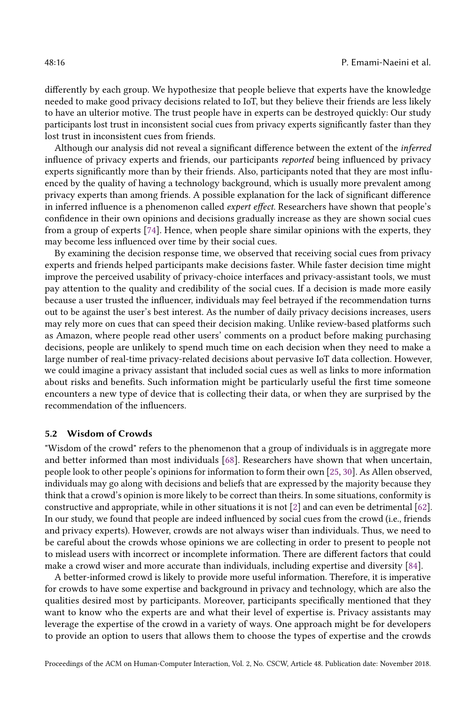differently by each group. We hypothesize that people believe that experts have the knowledge needed to make good privacy decisions related to IoT, but they believe their friends are less likely to have an ulterior motive. The trust people have in experts can be destroyed quickly: Our study participants lost trust in inconsistent social cues from privacy experts significantly faster than they lost trust in inconsistent cues from friends.

Although our analysis did not reveal a significant difference between the extent of the inferred influence of privacy experts and friends, our participants reported being influenced by privacy experts significantly more than by their friends. Also, participants noted that they are most influenced by the quality of having a technology background, which is usually more prevalent among privacy experts than among friends. A possible explanation for the lack of significant difference in inferred influence is a phenomenon called *expert effect*. Researchers have shown that people's confidence in their own opinions and decisions gradually increase as they are shown social cues from a group of experts [\[74\]](#page-21-1). Hence, when people share similar opinions with the experts, they may become less influenced over time by their social cues.

By examining the decision response time, we observed that receiving social cues from privacy experts and friends helped participants make decisions faster. While faster decision time might improve the perceived usability of privacy-choice interfaces and privacy-assistant tools, we must pay attention to the quality and credibility of the social cues. If a decision is made more easily because a user trusted the influencer, individuals may feel betrayed if the recommendation turns out to be against the user's best interest. As the number of daily privacy decisions increases, users may rely more on cues that can speed their decision making. Unlike review-based platforms such as Amazon, where people read other users' comments on a product before making purchasing decisions, people are unlikely to spend much time on each decision when they need to make a large number of real-time privacy-related decisions about pervasive IoT data collection. However, we could imagine a privacy assistant that included social cues as well as links to more information about risks and benefits. Such information might be particularly useful the first time someone encounters a new type of device that is collecting their data, or when they are surprised by the recommendation of the influencers.

#### 5.2 Wisdom of Crowds

"Wisdom of the crowd" refers to the phenomenon that a group of individuals is in aggregate more and better informed than most individuals [\[68\]](#page-21-18). Researchers have shown that when uncertain, people look to other people's opinions for information to form their own [\[25,](#page-19-1) [30\]](#page-19-6). As Allen observed, individuals may go along with decisions and beliefs that are expressed by the majority because they think that a crowd's opinion is more likely to be correct than theirs. In some situations, conformity is constructive and appropriate, while in other situations it is not [\[2\]](#page-18-8) and can even be detrimental [\[62\]](#page-21-19). In our study, we found that people are indeed influenced by social cues from the crowd (i.e., friends and privacy experts). However, crowds are not always wiser than individuals. Thus, we need to be careful about the crowds whose opinions we are collecting in order to present to people not to mislead users with incorrect or incomplete information. There are different factors that could make a crowd wiser and more accurate than individuals, including expertise and diversity [\[84\]](#page-21-20).

A better-informed crowd is likely to provide more useful information. Therefore, it is imperative for crowds to have some expertise and background in privacy and technology, which are also the qualities desired most by participants. Moreover, participants specifically mentioned that they want to know who the experts are and what their level of expertise is. Privacy assistants may leverage the expertise of the crowd in a variety of ways. One approach might be for developers to provide an option to users that allows them to choose the types of expertise and the crowds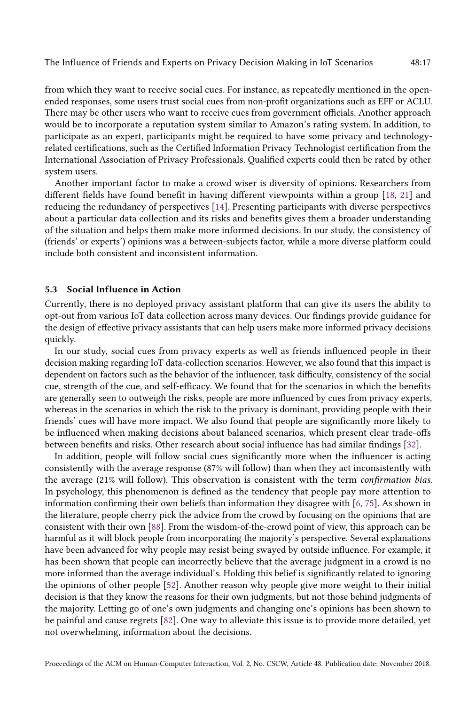The Influence of Friends and Experts on Privacy Decision Making in IoT Scenarios 48:17

from which they want to receive social cues. For instance, as repeatedly mentioned in the openended responses, some users trust social cues from non-profit organizations such as EFF or ACLU. There may be other users who want to receive cues from government officials. Another approach would be to incorporate a reputation system similar to Amazon's rating system. In addition, to participate as an expert, participants might be required to have some privacy and technologyrelated certifications, such as the Certified Information Privacy Technologist certification from the International Association of Privacy Professionals. Qualified experts could then be rated by other system users.

Another important factor to make a crowd wiser is diversity of opinions. Researchers from different fields have found benefit in having different viewpoints within a group [\[18,](#page-19-20) [21\]](#page-19-21) and reducing the redundancy of perspectives [\[14\]](#page-19-22). Presenting participants with diverse perspectives about a particular data collection and its risks and benefits gives them a broader understanding of the situation and helps them make more informed decisions. In our study, the consistency of (friends' or experts') opinions was a between-subjects factor, while a more diverse platform could include both consistent and inconsistent information.

#### 5.3 Social Influence in Action

Currently, there is no deployed privacy assistant platform that can give its users the ability to opt-out from various IoT data collection across many devices. Our findings provide guidance for the design of effective privacy assistants that can help users make more informed privacy decisions quickly.

In our study, social cues from privacy experts as well as friends influenced people in their decision making regarding IoT data-collection scenarios. However, we also found that this impact is dependent on factors such as the behavior of the influencer, task difficulty, consistency of the social cue, strength of the cue, and self-efficacy. We found that for the scenarios in which the benefits are generally seen to outweigh the risks, people are more influenced by cues from privacy experts, whereas in the scenarios in which the risk to the privacy is dominant, providing people with their friends' cues will have more impact. We also found that people are significantly more likely to be influenced when making decisions about balanced scenarios, which present clear trade-offs between benefits and risks. Other research about social influence has had similar findings [\[32\]](#page-19-23).

In addition, people will follow social cues significantly more when the influencer is acting consistently with the average response (87% will follow) than when they act inconsistently with the average (21% will follow). This observation is consistent with the term confirmation bias. In psychology, this phenomenon is defined as the tendency that people pay more attention to information confirming their own beliefs than information they disagree with [\[6,](#page-18-9) [75\]](#page-21-21). As shown in the literature, people cherry pick the advice from the crowd by focusing on the opinions that are consistent with their own [\[88\]](#page-22-4). From the wisdom-of-the-crowd point of view, this approach can be harmful as it will block people from incorporating the majority's perspective. Several explanations have been advanced for why people may resist being swayed by outside influence. For example, it has been shown that people can incorrectly believe that the average judgment in a crowd is no more informed than the average individual's. Holding this belief is significantly related to ignoring the opinions of other people [\[52\]](#page-20-22). Another reason why people give more weight to their initial decision is that they know the reasons for their own judgments, but not those behind judgments of the majority. Letting go of one's own judgments and changing one's opinions has been shown to be painful and cause regrets [\[82\]](#page-21-22). One way to alleviate this issue is to provide more detailed, yet not overwhelming, information about the decisions.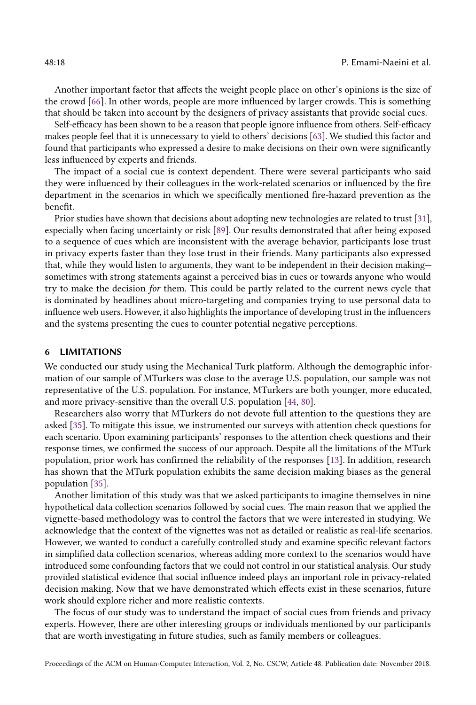Another important factor that affects the weight people place on other's opinions is the size of the crowd [\[66\]](#page-21-23). In other words, people are more influenced by larger crowds. This is something that should be taken into account by the designers of privacy assistants that provide social cues.

Self-efficacy has been shown to be a reason that people ignore influence from others. Self-efficacy makes people feel that it is unnecessary to yield to others' decisions [\[63\]](#page-21-24). We studied this factor and found that participants who expressed a desire to make decisions on their own were significantly less influenced by experts and friends.

The impact of a social cue is context dependent. There were several participants who said they were influenced by their colleagues in the work-related scenarios or influenced by the fire department in the scenarios in which we specifically mentioned fire-hazard prevention as the benefit.

Prior studies have shown that decisions about adopting new technologies are related to trust [\[31\]](#page-19-24), especially when facing uncertainty or risk [\[89\]](#page-22-5). Our results demonstrated that after being exposed to a sequence of cues which are inconsistent with the average behavior, participants lose trust in privacy experts faster than they lose trust in their friends. Many participants also expressed that, while they would listen to arguments, they want to be independent in their decision making sometimes with strong statements against a perceived bias in cues or towards anyone who would try to make the decision for them. This could be partly related to the current news cycle that is dominated by headlines about micro-targeting and companies trying to use personal data to influence web users. However, it also highlights the importance of developing trust in the influencers and the systems presenting the cues to counter potential negative perceptions.

#### <span id="page-17-0"></span>6 LIMITATIONS

We conducted our study using the Mechanical Turk platform. Although the demographic information of our sample of MTurkers was close to the average U.S. population, our sample was not representative of the U.S. population. For instance, MTurkers are both younger, more educated, and more privacy-sensitive than the overall U.S. population [\[44,](#page-20-23) [80\]](#page-21-25).

Researchers also worry that MTurkers do not devote full attention to the questions they are asked [\[35\]](#page-19-14). To mitigate this issue, we instrumented our surveys with attention check questions for each scenario. Upon examining participants' responses to the attention check questions and their response times, we confirmed the success of our approach. Despite all the limitations of the MTurk population, prior work has confirmed the reliability of the responses [\[13\]](#page-19-25). In addition, research has shown that the MTurk population exhibits the same decision making biases as the general population [\[35\]](#page-19-14).

Another limitation of this study was that we asked participants to imagine themselves in nine hypothetical data collection scenarios followed by social cues. The main reason that we applied the vignette-based methodology was to control the factors that we were interested in studying. We acknowledge that the context of the vignettes was not as detailed or realistic as real-life scenarios. However, we wanted to conduct a carefully controlled study and examine specific relevant factors in simplified data collection scenarios, whereas adding more context to the scenarios would have introduced some confounding factors that we could not control in our statistical analysis. Our study provided statistical evidence that social influence indeed plays an important role in privacy-related decision making. Now that we have demonstrated which effects exist in these scenarios, future work should explore richer and more realistic contexts.

The focus of our study was to understand the impact of social cues from friends and privacy experts. However, there are other interesting groups or individuals mentioned by our participants that are worth investigating in future studies, such as family members or colleagues.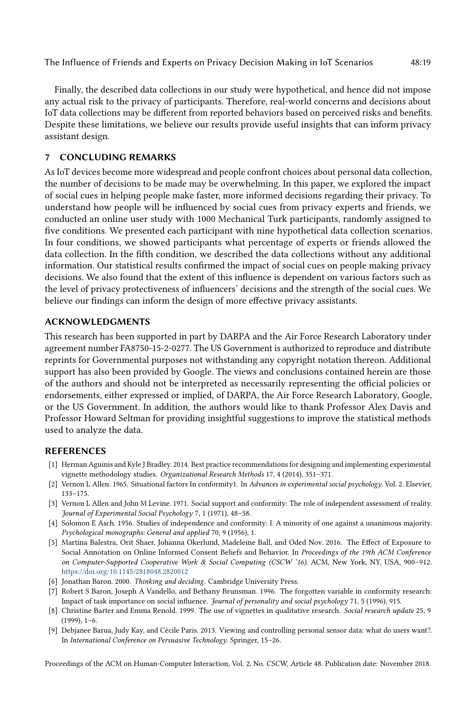The Influence of Friends and Experts on Privacy Decision Making in IoT Scenarios 48:19

Finally, the described data collections in our study were hypothetical, and hence did not impose any actual risk to the privacy of participants. Therefore, real-world concerns and decisions about IoT data collections may be different from reported behaviors based on perceived risks and benefits. Despite these limitations, we believe our results provide useful insights that can inform privacy assistant design.

# <span id="page-18-2"></span>7 CONCLUDING REMARKS

As IoT devices become more widespread and people confront choices about personal data collection, the number of decisions to be made may be overwhelming. In this paper, we explored the impact of social cues in helping people make faster, more informed decisions regarding their privacy. To understand how people will be influenced by social cues from privacy experts and friends, we conducted an online user study with 1000 Mechanical Turk participants, randomly assigned to five conditions. We presented each participant with nine hypothetical data collection scenarios. In four conditions, we showed participants what percentage of experts or friends allowed the data collection. In the fifth condition, we described the data collections without any additional information. Our statistical results confirmed the impact of social cues on people making privacy decisions. We also found that the extent of this influence is dependent on various factors such as the level of privacy protectiveness of influencers' decisions and the strength of the social cues. We believe our findings can inform the design of more effective privacy assistants.

## ACKNOWLEDGMENTS

This research has been supported in part by DARPA and the Air Force Research Laboratory under agreement number FA8750-15-2-0277. The US Government is authorized to reproduce and distribute reprints for Governmental purposes not withstanding any copyright notation thereon. Additional support has also been provided by Google. The views and conclusions contained herein are those of the authors and should not be interpreted as necessarily representing the official policies or endorsements, either expressed or implied, of DARPA, the Air Force Research Laboratory, Google, or the US Government. In addition, the authors would like to thank Professor Alex Davis and Professor Howard Seltman for providing insightful suggestions to improve the statistical methods used to analyze the data.

## REFERENCES

- <span id="page-18-5"></span>[1] Herman Aguinis and Kyle J Bradley. 2014. Best practice recommendations for designing and implementing experimental vignette methodology studies. Organizational Research Methods 17, 4 (2014), 351–371.
- <span id="page-18-8"></span>[2] Vernon L Allen. 1965. Situational factors In conformity1. In Advances in experimental social psychology. Vol. 2. Elsevier, 133–175.
- <span id="page-18-0"></span>[3] Vernon L Allen and John M Levine. 1971. Social support and conformity: The role of independent assessment of reality. Journal of Experimental Social Psychology 7, 1 (1971), 48–58.
- <span id="page-18-3"></span>[4] Solomon E Asch. 1956. Studies of independence and conformity: I. A minority of one against a unanimous majority. Psychological monographs: General and applied 70, 9 (1956), 1.
- <span id="page-18-6"></span>[5] Martina Balestra, Orit Shaer, Johanna Okerlund, Madeleine Ball, and Oded Nov. 2016. The Effect of Exposure to Social Annotation on Online Informed Consent Beliefs and Behavior. In Proceedings of the 19th ACM Conference on Computer-Supported Cooperative Work & Social Computing (CSCW '16). ACM, New York, NY, USA, 900–912. <https://doi.org/10.1145/2818048.2820012>
- <span id="page-18-9"></span>[6] Jonathan Baron. 2000. Thinking and deciding. Cambridge University Press.
- <span id="page-18-1"></span>[7] Robert S Baron, Joseph A Vandello, and Bethany Brunsman. 1996. The forgotten variable in conformity research: Impact of task importance on social influence. Journal of personality and social psychology 71, 5 (1996), 915.
- <span id="page-18-4"></span>[8] Christine Barter and Emma Renold. 1999. The use of vignettes in qualitative research. Social research update 25, 9 (1999), 1–6.
- <span id="page-18-7"></span>[9] Debjanee Barua, Judy Kay, and Cécile Paris. 2013. Viewing and controlling personal sensor data: what do users want?. In International Conference on Persuasive Technology. Springer, 15–26.

Proceedings of the ACM on Human-Computer Interaction, Vol. 2, No. CSCW, Article 48. Publication date: November 2018.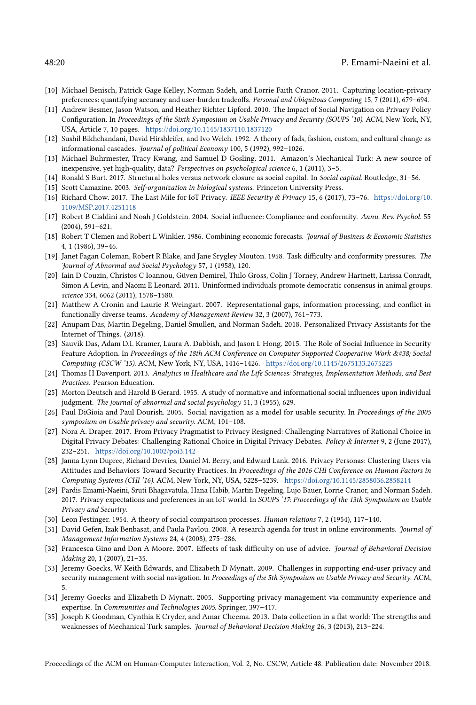#### 48:20 P. Emami-Naeini et al.

- <span id="page-19-15"></span>[10] Michael Benisch, Patrick Gage Kelley, Norman Sadeh, and Lorrie Faith Cranor. 2011. Capturing location-privacy preferences: quantifying accuracy and user-burden tradeoffs. Personal and Ubiquitous Computing 15, 7 (2011), 679–694.
- <span id="page-19-12"></span>[11] Andrew Besmer, Jason Watson, and Heather Richter Lipford. 2010. The Impact of Social Navigation on Privacy Policy Configuration. In Proceedings of the Sixth Symposium on Usable Privacy and Security (SOUPS '10). ACM, New York, NY, USA, Article 7, 10 pages. <https://doi.org/10.1145/1837110.1837120>
- <span id="page-19-2"></span>[12] Sushil Bikhchandani, David Hirshleifer, and Ivo Welch. 1992. A theory of fads, fashion, custom, and cultural change as informational cascades. Journal of political Economy 100, 5 (1992), 992–1026.
- <span id="page-19-25"></span>[13] Michael Buhrmester, Tracy Kwang, and Samuel D Gosling. 2011. Amazon's Mechanical Turk: A new source of inexpensive, yet high-quality, data? Perspectives on psychological science 6, 1 (2011), 3–5.
- <span id="page-19-22"></span>[14] Ronald S Burt. 2017. Structural holes versus network closure as social capital. In Social capital. Routledge, 31–56.
- <span id="page-19-3"></span>[15] Scott Camazine. 2003. Self-organization in biological systems. Princeton University Press.
- <span id="page-19-7"></span>[16] Richard Chow. 2017. The Last Mile for IoT Privacy. IEEE Security & Privacy 15, 6 (2017), 73–76. [https://doi.org/10.](https://doi.org/10.1109/MSP.2017.4251118) [1109/MSP.2017.4251118](https://doi.org/10.1109/MSP.2017.4251118)
- <span id="page-19-5"></span>[17] Robert B Cialdini and Noah J Goldstein. 2004. Social influence: Compliance and conformity. Annu. Rev. Psychol. 55 (2004), 591–621.
- <span id="page-19-20"></span>[18] Robert T Clemen and Robert L Winkler. 1986. Combining economic forecasts. Journal of Business & Economic Statistics 4, 1 (1986), 39–46.
- <span id="page-19-8"></span>[19] Janet Fagan Coleman, Robert R Blake, and Jane Srygley Mouton. 1958. Task difficulty and conformity pressures. The Journal of Abnormal and Social Psychology 57, 1 (1958), 120.
- <span id="page-19-4"></span>[20] Iain D Couzin, Christos C Ioannou, Güven Demirel, Thilo Gross, Colin J Torney, Andrew Hartnett, Larissa Conradt, Simon A Levin, and Naomi E Leonard. 2011. Uninformed individuals promote democratic consensus in animal groups. science 334, 6062 (2011), 1578–1580.
- <span id="page-19-21"></span>[21] Matthew A Cronin and Laurie R Weingart. 2007. Representational gaps, information processing, and conflict in functionally diverse teams. Academy of Management Review 32, 3 (2007), 761–773.
- <span id="page-19-0"></span>[22] Anupam Das, Martin Degeling, Daniel Smullen, and Norman Sadeh. 2018. Personalized Privacy Assistants for the Internet of Things. (2018).
- <span id="page-19-13"></span>[23] Sauvik Das, Adam D.I. Kramer, Laura A. Dabbish, and Jason I. Hong. 2015. The Role of Social Influence in Security Feature Adoption. In Proceedings of the 18th ACM Conference on Computer Supported Cooperative Work & Social Computing (CSCW '15). ACM, New York, NY, USA, 1416–1426. <https://doi.org/10.1145/2675133.2675225>
- <span id="page-19-16"></span>[24] Thomas H Davenport. 2013. Analytics in Healthcare and the Life Sciences: Strategies, Implementation Methods, and Best Practices. Pearson Education.
- <span id="page-19-1"></span>[25] Morton Deutsch and Harold B Gerard. 1955. A study of normative and informational social influences upon individual judgment. The journal of abnormal and social psychology 51, 3 (1955), 629.
- <span id="page-19-17"></span>[26] Paul DiGioia and Paul Dourish. 2005. Social navigation as a model for usable security. In Proceedings of the 2005 symposium on Usable privacy and security. ACM, 101–108.
- <span id="page-19-9"></span>[27] Nora A. Draper. 2017. From Privacy Pragmatist to Privacy Resigned: Challenging Narratives of Rational Choice in Digital Privacy Debates: Challenging Rational Choice in Digital Privacy Debates. Policy & Internet 9, 2 (June 2017), 232–251. <https://doi.org/10.1002/poi3.142>
- <span id="page-19-10"></span>[28] Janna Lynn Dupree, Richard Devries, Daniel M. Berry, and Edward Lank. 2016. Privacy Personas: Clustering Users via Attitudes and Behaviors Toward Security Practices. In Proceedings of the 2016 CHI Conference on Human Factors in Computing Systems (CHI '16). ACM, New York, NY, USA, 5228–5239. <https://doi.org/10.1145/2858036.2858214>
- <span id="page-19-11"></span>[29] Pardis Emami-Naeini, Sruti Bhagavatula, Hana Habib, Martin Degeling, Lujo Bauer, Lorrie Cranor, and Norman Sadeh. 2017. Privacy expectations and preferences in an IoT world. In SOUPS '17: Proceedings of the 13th Symposium on Usable Privacy and Security.
- <span id="page-19-6"></span>[30] Leon Festinger. 1954. A theory of social comparison processes. Human relations 7, 2 (1954), 117–140.
- <span id="page-19-24"></span>[31] David Gefen, Izak Benbasat, and Paula Pavlou. 2008. A research agenda for trust in online environments. Journal of Management Information Systems 24, 4 (2008), 275–286.
- <span id="page-19-23"></span>[32] Francesca Gino and Don A Moore. 2007. Effects of task difficulty on use of advice. Journal of Behavioral Decision Making 20, 1 (2007), 21–35.
- <span id="page-19-18"></span>[33] Jeremy Goecks, W Keith Edwards, and Elizabeth D Mynatt. 2009. Challenges in supporting end-user privacy and security management with social navigation. In Proceedings of the 5th Symposium on Usable Privacy and Security. ACM, 5.
- <span id="page-19-19"></span>[34] Jeremy Goecks and Elizabeth D Mynatt. 2005. Supporting privacy management via community experience and expertise. In Communities and Technologies 2005. Springer, 397–417.
- <span id="page-19-14"></span>[35] Joseph K Goodman, Cynthia E Cryder, and Amar Cheema. 2013. Data collection in a flat world: The strengths and weaknesses of Mechanical Turk samples. Journal of Behavioral Decision Making 26, 3 (2013), 213-224.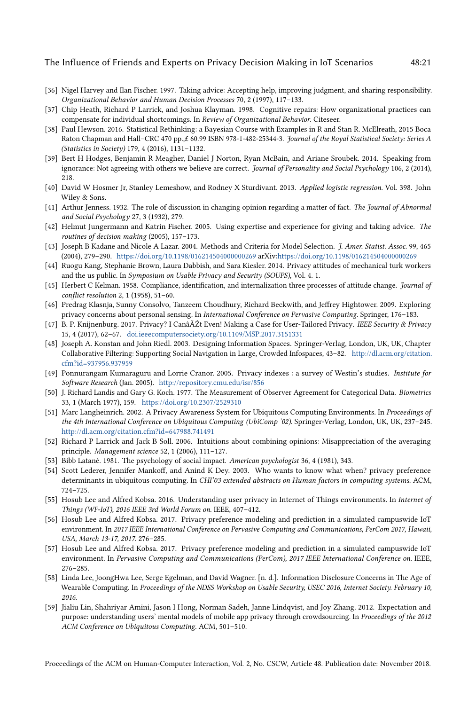- <span id="page-20-1"></span>[36] Nigel Harvey and Ilan Fischer. 1997. Taking advice: Accepting help, improving judgment, and sharing responsibility. Organizational Behavior and Human Decision Processes 70, 2 (1997), 117–133.
- <span id="page-20-5"></span>[37] Chip Heath, Richard P Larrick, and Joshua Klayman. 1998. Cognitive repairs: How organizational practices can compensate for individual shortcomings. In Review of Organizational Behavior. Citeseer.
- <span id="page-20-18"></span>[38] Paul Hewson. 2016. Statistical Rethinking: a Bayesian Course with Examples in R and Stan R. McElreath, 2015 Boca Raton Chapman and Hall-CRC 470 pp.,£ 60.99 ISBN 978-1-482-25344-3. Journal of the Royal Statistical Society: Series A (Statistics in Society) 179, 4 (2016), 1131–1132.
- <span id="page-20-17"></span>[39] Bert H Hodges, Benjamin R Meagher, Daniel J Norton, Ryan McBain, and Ariane Sroubek. 2014. Speaking from ignorance: Not agreeing with others we believe are correct. Journal of Personality and Social Psychology 106, 2 (2014), 218.
- <span id="page-20-21"></span>[40] David W Hosmer Jr, Stanley Lemeshow, and Rodney X Sturdivant. 2013. Applied logistic regression. Vol. 398. John Wiley & Sons.
- <span id="page-20-3"></span>[41] Arthur Jenness. 1932. The role of discussion in changing opinion regarding a matter of fact. The Journal of Abnormal and Social Psychology 27, 3 (1932), 279.
- <span id="page-20-2"></span>[42] Helmut Jungermann and Katrin Fischer. 2005. Using expertise and experience for giving and taking advice. The routines of decision making (2005), 157–173.
- <span id="page-20-19"></span>[43] Joseph B Kadane and Nicole A Lazar. 2004. Methods and Criteria for Model Selection. J. Amer. Statist. Assoc. 99, 465 (2004), 279–290. <https://doi.org/10.1198/016214504000000269> arXiv[:https://doi.org/10.1198/016214504000000269](http://arxiv.org/abs/https://doi.org/10.1198/016214504000000269)
- <span id="page-20-23"></span>[44] Ruogu Kang, Stephanie Brown, Laura Dabbish, and Sara Kiesler. 2014. Privacy attitudes of mechanical turk workers and the us public. In Symposium on Usable Privacy and Security (SOUPS), Vol. 4. 1.
- <span id="page-20-4"></span>[45] Herbert C Kelman. 1958. Compliance, identification, and internalization three processes of attitude change. Journal of conflict resolution 2, 1 (1958), 51–60.
- <span id="page-20-12"></span>[46] Predrag Klasnja, Sunny Consolvo, Tanzeem Choudhury, Richard Beckwith, and Jeffrey Hightower. 2009. Exploring privacy concerns about personal sensing. In International Conference on Pervasive Computing. Springer, 176–183.
- <span id="page-20-7"></span>[47] B. P. Knijnenburg. 2017. Privacy? I CanâĂŹt Even! Making a Case for User-Tailored Privacy. IEEE Security & Privacy 15, 4 (2017), 62–67. <doi.ieeecomputersociety.org/10.1109/MSP.2017.3151331>
- <span id="page-20-10"></span>[48] Joseph A. Konstan and John Riedl. 2003. Designing Information Spaces. Springer-Verlag, London, UK, UK, Chapter Collaborative Filtering: Supporting Social Navigation in Large, Crowded Infospaces, 43–82. [http://dl.acm.org/citation.](http://dl.acm.org/citation.cfm?id=937956.937959) [cfm?id=937956.937959](http://dl.acm.org/citation.cfm?id=937956.937959)
- <span id="page-20-6"></span>[49] Ponnurangam Kumaraguru and Lorrie Cranor. 2005. Privacy indexes : a survey of Westin's studies. Institute for Software Research (Jan. 2005). <http://repository.cmu.edu/isr/856>
- <span id="page-20-20"></span>[50] J. Richard Landis and Gary G. Koch. 1977. The Measurement of Observer Agreement for Categorical Data. Biometrics 33, 1 (March 1977), 159. <https://doi.org/10.2307/2529310>
- <span id="page-20-11"></span>[51] Marc Langheinrich. 2002. A Privacy Awareness System for Ubiquitous Computing Environments. In Proceedings of the 4th International Conference on Ubiquitous Computing (UbiComp '02). Springer-Verlag, London, UK, UK, 237–245. <http://dl.acm.org/citation.cfm?id=647988.741491>
- <span id="page-20-22"></span>[52] Richard P Larrick and Jack B Soll. 2006. Intuitions about combining opinions: Misappreciation of the averaging principle. Management science 52, 1 (2006), 111–127.
- <span id="page-20-0"></span>[53] Bibb Latané. 1981. The psychology of social impact. American psychologist 36, 4 (1981), 343.
- <span id="page-20-13"></span>[54] Scott Lederer, Jennifer Mankoff, and Anind K Dey. 2003. Who wants to know what when? privacy preference determinants in ubiquitous computing. In CHI'03 extended abstracts on Human factors in computing systems. ACM, 724–725.
- <span id="page-20-14"></span>[55] Hosub Lee and Alfred Kobsa. 2016. Understanding user privacy in Internet of Things environments. In Internet of Things (WF-IoT), 2016 IEEE 3rd World Forum on. IEEE, 407–412.
- <span id="page-20-8"></span>[56] Hosub Lee and Alfred Kobsa. 2017. Privacy preference modeling and prediction in a simulated campuswide IoT environment. In 2017 IEEE International Conference on Pervasive Computing and Communications, PerCom 2017, Hawaii, USA, March 13-17, 2017. 276–285.
- <span id="page-20-15"></span>[57] Hosub Lee and Alfred Kobsa. 2017. Privacy preference modeling and prediction in a simulated campuswide IoT environment. In Pervasive Computing and Communications (PerCom), 2017 IEEE International Conference on. IEEE, 276–285.
- <span id="page-20-9"></span>[58] Linda Lee, JoongHwa Lee, Serge Egelman, and David Wagner. [n. d.]. Information Disclosure Concerns in The Age of Wearable Computing. In Proceedings of the NDSS Workshop on Usable Security, USEC 2016, Internet Society. February 10, 2016.
- <span id="page-20-16"></span>[59] Jialiu Lin, Shahriyar Amini, Jason I Hong, Norman Sadeh, Janne Lindqvist, and Joy Zhang. 2012. Expectation and purpose: understanding users' mental models of mobile app privacy through crowdsourcing. In Proceedings of the 2012 ACM Conference on Ubiquitous Computing. ACM, 501–510.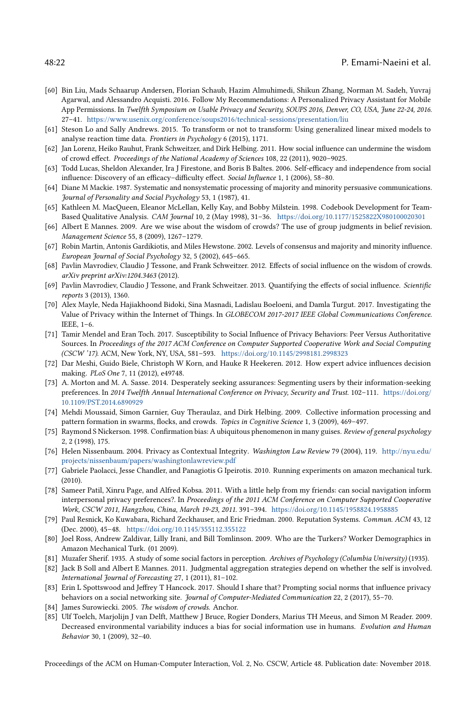#### 48:22 P. Emami-Naeini et al.

- <span id="page-21-9"></span>[60] Bin Liu, Mads Schaarup Andersen, Florian Schaub, Hazim Almuhimedi, Shikun Zhang, Norman M. Sadeh, Yuvraj Agarwal, and Alessandro Acquisti. 2016. Follow My Recommendations: A Personalized Privacy Assistant for Mobile App Permissions. In Twelfth Symposium on Usable Privacy and Security, SOUPS 2016, Denver, CO, USA, June 22-24, 2016. 27–41. <https://www.usenix.org/conference/soups2016/technical-sessions/presentation/liu>
- <span id="page-21-17"></span>[61] Steson Lo and Sally Andrews. 2015. To transform or not to transform: Using generalized linear mixed models to analyse reaction time data. Frontiers in Psychology 6 (2015), 1171.
- <span id="page-21-19"></span>[62] Jan Lorenz, Heiko Rauhut, Frank Schweitzer, and Dirk Helbing. 2011. How social influence can undermine the wisdom of crowd effect. Proceedings of the National Academy of Sciences 108, 22 (2011), 9020–9025.
- <span id="page-21-24"></span>[63] Todd Lucas, Sheldon Alexander, Ira J Firestone, and Boris B Baltes. 2006. Self-efficacy and independence from social influence: Discovery of an efficacy–difficulty effect. Social Influence 1, 1 (2006), 58–80.
- <span id="page-21-8"></span>[64] Diane M Mackie. 1987. Systematic and nonsystematic processing of majority and minority persuasive communications. Journal of Personality and Social Psychology 53, 1 (1987), 41.
- <span id="page-21-16"></span>[65] Kathleen M. MacQueen, Eleanor McLellan, Kelly Kay, and Bobby Milstein. 1998. Codebook Development for Team-Based Qualitative Analysis. CAM Journal 10, 2 (May 1998), 31–36. <https://doi.org/10.1177/1525822X980100020301>
- <span id="page-21-23"></span>[66] Albert E Mannes. 2009. Are we wise about the wisdom of crowds? The use of group judgments in belief revision. Management Science 55, 8 (2009), 1267–1279.
- <span id="page-21-6"></span>[67] Robin Martin, Antonis Gardikiotis, and Miles Hewstone. 2002. Levels of consensus and majority and minority influence. European Journal of Social Psychology 32, 5 (2002), 645–665.
- <span id="page-21-18"></span>[68] Pavlin Mavrodiev, Claudio J Tessone, and Frank Schweitzer. 2012. Effects of social influence on the wisdom of crowds. arXiv preprint arXiv:1204.3463 (2012).
- <span id="page-21-4"></span>[69] Pavlin Mavrodiev, Claudio J Tessone, and Frank Schweitzer. 2013. Quantifying the effects of social influence. Scientific reports 3 (2013), 1360.
- <span id="page-21-0"></span>[70] Alex Mayle, Neda Hajiakhoond Bidoki, Sina Masnadi, Ladislau Boeloeni, and Damla Turgut. 2017. Investigating the Value of Privacy within the Internet of Things. In GLOBECOM 2017-2017 IEEE Global Communications Conference. IEEE, 1–6.
- <span id="page-21-12"></span>[71] Tamir Mendel and Eran Toch. 2017. Susceptibility to Social Influence of Privacy Behaviors: Peer Versus Authoritative Sources. In Proceedings of the 2017 ACM Conference on Computer Supported Cooperative Work and Social Computing (CSCW '17). ACM, New York, NY, USA, 581–593. <https://doi.org/10.1145/2998181.2998323>
- <span id="page-21-5"></span>[72] Dar Meshi, Guido Biele, Christoph W Korn, and Hauke R Heekeren. 2012. How expert advice influences decision making. PLoS One 7, 11 (2012), e49748.
- <span id="page-21-11"></span>[73] A. Morton and M. A. Sasse. 2014. Desperately seeking assurances: Segmenting users by their information-seeking preferences. In 2014 Twelfth Annual International Conference on Privacy, Security and Trust. 102–111. [https://doi.org/](https://doi.org/10.1109/PST.2014.6890929) [10.1109/PST.2014.6890929](https://doi.org/10.1109/PST.2014.6890929)
- <span id="page-21-1"></span>[74] Mehdi Moussaid, Simon Garnier, Guy Theraulaz, and Dirk Helbing. 2009. Collective information processing and pattern formation in swarms, flocks, and crowds. Topics in Cognitive Science 1, 3 (2009), 469-497.
- <span id="page-21-21"></span>[75] Raymond S Nickerson. 1998. Confirmation bias: A ubiquitous phenomenon in many guises. Review of general psychology 2, 2 (1998), 175.
- <span id="page-21-10"></span>[76] Helen Nissenbaum. 2004. Privacy as Contextual Integrity. Washington Law Review 79 (2004), 119. [http://nyu.edu/](http://nyu.edu/projects/nissenbaum/papers/washingtonlawreview.pdf) [projects/nissenbaum/papers/washingtonlawreview.pdf](http://nyu.edu/projects/nissenbaum/papers/washingtonlawreview.pdf)
- <span id="page-21-15"></span>[77] Gabriele Paolacci, Jesse Chandler, and Panagiotis G Ipeirotis. 2010. Running experiments on amazon mechanical turk. (2010).
- <span id="page-21-13"></span>[78] Sameer Patil, Xinru Page, and Alfred Kobsa. 2011. With a little help from my friends: can social navigation inform interpersonal privacy preferences?. In Proceedings of the 2011 ACM Conference on Computer Supported Cooperative Work, CSCW 2011, Hangzhou, China, March 19-23, 2011. 391–394. <https://doi.org/10.1145/1958824.1958885>
- <span id="page-21-14"></span>[79] Paul Resnick, Ko Kuwabara, Richard Zeckhauser, and Eric Friedman. 2000. Reputation Systems. Commun. ACM 43, 12 (Dec. 2000), 45–48. <https://doi.org/10.1145/355112.355122>
- <span id="page-21-25"></span>[80] Joel Ross, Andrew Zaldivar, Lilly Irani, and Bill Tomlinson. 2009. Who are the Turkers? Worker Demographics in Amazon Mechanical Turk. (01 2009).
- <span id="page-21-7"></span>[81] Muzafer Sherif. 1935. A study of some social factors in perception. Archives of Psychology (Columbia University) (1935).
- <span id="page-21-22"></span>[82] Jack B Soll and Albert E Mannes. 2011. Judgmental aggregation strategies depend on whether the self is involved. International Journal of Forecasting 27, 1 (2011), 81–102.
- <span id="page-21-2"></span>[83] Erin L Spottswood and Jeffrey T Hancock. 2017. Should I share that? Prompting social norms that influence privacy behaviors on a social networking site. Journal of Computer-Mediated Communication 22, 2 (2017), 55-70.
- <span id="page-21-20"></span>[84] James Surowiecki. 2005. The wisdom of crowds. Anchor.
- <span id="page-21-3"></span>[85] Ulf Toelch, Marjolijn J van Delft, Matthew J Bruce, Rogier Donders, Marius TH Meeus, and Simon M Reader. 2009. Decreased environmental variability induces a bias for social information use in humans. Evolution and Human Behavior 30, 1 (2009), 32–40.

Proceedings of the ACM on Human-Computer Interaction, Vol. 2, No. CSCW, Article 48. Publication date: November 2018.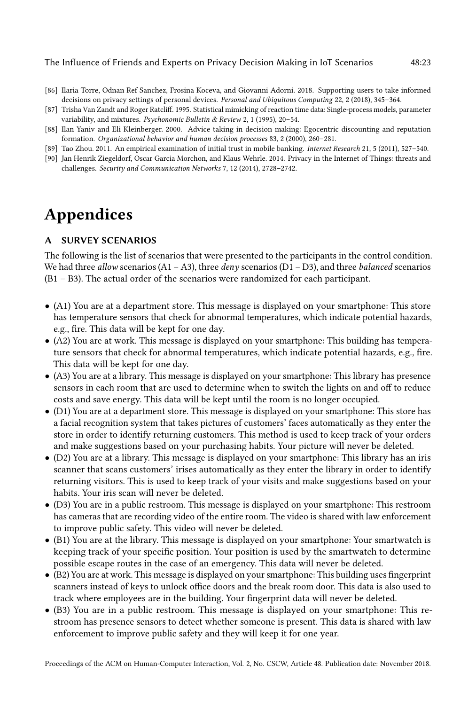- 
- <span id="page-22-1"></span>[86] Ilaria Torre, Odnan Ref Sanchez, Frosina Koceva, and Giovanni Adorni. 2018. Supporting users to take informed decisions on privacy settings of personal devices. Personal and Ubiquitous Computing 22, 2 (2018), 345-364.
- <span id="page-22-3"></span>[87] Trisha Van Zandt and Roger Ratcliff. 1995. Statistical mimicking of reaction time data: Single-process models, parameter variability, and mixtures. Psychonomic Bulletin & Review 2, 1 (1995), 20–54.
- <span id="page-22-4"></span>[88] Ilan Yaniv and Eli Kleinberger. 2000. Advice taking in decision making: Egocentric discounting and reputation formation. Organizational behavior and human decision processes 83, 2 (2000), 260–281.
- <span id="page-22-5"></span>[89] Tao Zhou. 2011. An empirical examination of initial trust in mobile banking. Internet Research 21, 5 (2011), 527–540.
- <span id="page-22-0"></span>[90] Jan Henrik Ziegeldorf, Oscar Garcia Morchon, and Klaus Wehrle. 2014. Privacy in the Internet of Things: threats and challenges. Security and Communication Networks 7, 12 (2014), 2728–2742.

# Appendices

# <span id="page-22-2"></span>A SURVEY SCENARIOS

The following is the list of scenarios that were presented to the participants in the control condition. We had three allow scenarios  $(A1 - A3)$ , three deny scenarios  $(D1 - D3)$ , and three balanced scenarios (B1 – B3). The actual order of the scenarios were randomized for each participant.

- (A1) You are at a department store. This message is displayed on your smartphone: This store has temperature sensors that check for abnormal temperatures, which indicate potential hazards, e.g., fire. This data will be kept for one day.
- (A2) You are at work. This message is displayed on your smartphone: This building has temperature sensors that check for abnormal temperatures, which indicate potential hazards, e.g., fire. This data will be kept for one day.
- (A3) You are at a library. This message is displayed on your smartphone: This library has presence sensors in each room that are used to determine when to switch the lights on and off to reduce costs and save energy. This data will be kept until the room is no longer occupied.
- (D1) You are at a department store. This message is displayed on your smartphone: This store has a facial recognition system that takes pictures of customers' faces automatically as they enter the store in order to identify returning customers. This method is used to keep track of your orders and make suggestions based on your purchasing habits. Your picture will never be deleted.
- (D2) You are at a library. This message is displayed on your smartphone: This library has an iris scanner that scans customers' irises automatically as they enter the library in order to identify returning visitors. This is used to keep track of your visits and make suggestions based on your habits. Your iris scan will never be deleted.
- (D3) You are in a public restroom. This message is displayed on your smartphone: This restroom has cameras that are recording video of the entire room. The video is shared with law enforcement to improve public safety. This video will never be deleted.
- (B1) You are at the library. This message is displayed on your smartphone: Your smartwatch is keeping track of your specific position. Your position is used by the smartwatch to determine possible escape routes in the case of an emergency. This data will never be deleted.
- (B2) You are at work. This message is displayed on your smartphone: This building uses fingerprint scanners instead of keys to unlock office doors and the break room door. This data is also used to track where employees are in the building. Your fingerprint data will never be deleted.
- (B3) You are in a public restroom. This message is displayed on your smartphone: This restroom has presence sensors to detect whether someone is present. This data is shared with law enforcement to improve public safety and they will keep it for one year.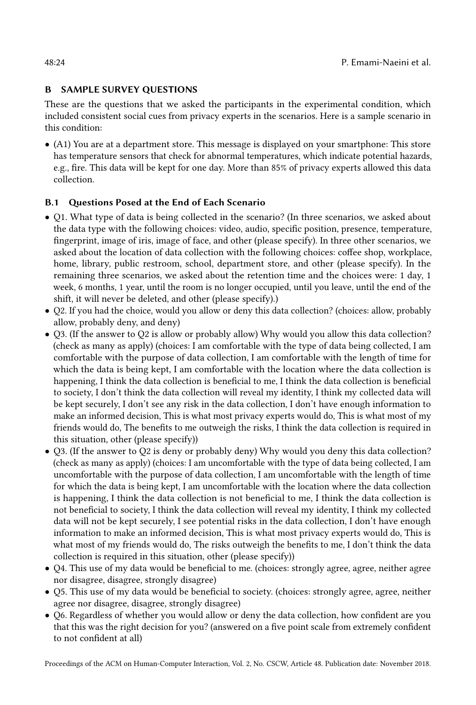# B SAMPLE SURVEY QUESTIONS

These are the questions that we asked the participants in the experimental condition, which included consistent social cues from privacy experts in the scenarios. Here is a sample scenario in this condition:

• (A1) You are at a department store. This message is displayed on your smartphone: This store has temperature sensors that check for abnormal temperatures, which indicate potential hazards, e.g., fire. This data will be kept for one day. More than 85% of privacy experts allowed this data collection.

# <span id="page-23-0"></span>B.1 Questions Posed at the End of Each Scenario

- Q1. What type of data is being collected in the scenario? (In three scenarios, we asked about the data type with the following choices: video, audio, specific position, presence, temperature, fingerprint, image of iris, image of face, and other (please specify). In three other scenarios, we asked about the location of data collection with the following choices: coffee shop, workplace, home, library, public restroom, school, department store, and other (please specify). In the remaining three scenarios, we asked about the retention time and the choices were: 1 day, 1 week, 6 months, 1 year, until the room is no longer occupied, until you leave, until the end of the shift, it will never be deleted, and other (please specify).)
- Q2. If you had the choice, would you allow or deny this data collection? (choices: allow, probably allow, probably deny, and deny)
- Q3. (If the answer to Q2 is allow or probably allow) Why would you allow this data collection? (check as many as apply) (choices: I am comfortable with the type of data being collected, I am comfortable with the purpose of data collection, I am comfortable with the length of time for which the data is being kept, I am comfortable with the location where the data collection is happening, I think the data collection is beneficial to me, I think the data collection is beneficial to society, I don't think the data collection will reveal my identity, I think my collected data will be kept securely, I don't see any risk in the data collection, I don't have enough information to make an informed decision, This is what most privacy experts would do, This is what most of my friends would do, The benefits to me outweigh the risks, I think the data collection is required in this situation, other (please specify))
- Q3. (If the answer to Q2 is deny or probably deny) Why would you deny this data collection? (check as many as apply) (choices: I am uncomfortable with the type of data being collected, I am uncomfortable with the purpose of data collection, I am uncomfortable with the length of time for which the data is being kept, I am uncomfortable with the location where the data collection is happening, I think the data collection is not beneficial to me, I think the data collection is not beneficial to society, I think the data collection will reveal my identity, I think my collected data will not be kept securely, I see potential risks in the data collection, I don't have enough information to make an informed decision, This is what most privacy experts would do, This is what most of my friends would do, The risks outweigh the benefits to me, I don't think the data collection is required in this situation, other (please specify))
- Q4. This use of my data would be beneficial to me. (choices: strongly agree, agree, neither agree nor disagree, disagree, strongly disagree)
- Q5. This use of my data would be beneficial to society. (choices: strongly agree, agree, neither agree nor disagree, disagree, strongly disagree)
- Q6. Regardless of whether you would allow or deny the data collection, how confident are you that this was the right decision for you? (answered on a five point scale from extremely confident to not confident at all)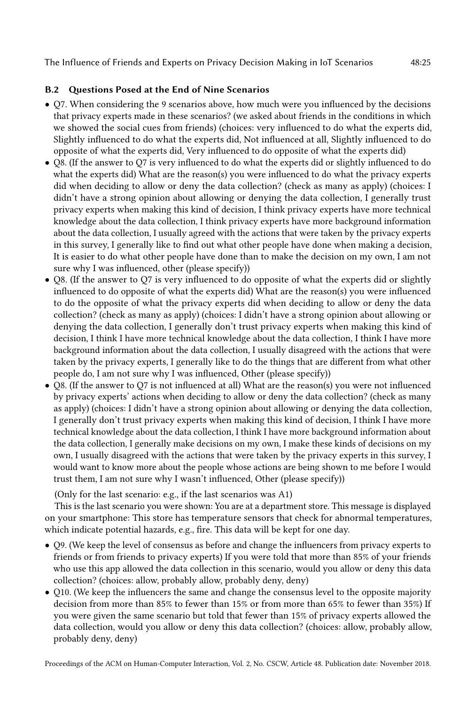The Influence of Friends and Experts on Privacy Decision Making in IoT Scenarios 48:25

# B.2 Questions Posed at the End of Nine Scenarios

- Q7. When considering the 9 scenarios above, how much were you influenced by the decisions that privacy experts made in these scenarios? (we asked about friends in the conditions in which we showed the social cues from friends) (choices: very influenced to do what the experts did, Slightly influenced to do what the experts did, Not influenced at all, Slightly influenced to do opposite of what the experts did, Very influenced to do opposite of what the experts did)
- Q8. (If the answer to Q7 is very influenced to do what the experts did or slightly influenced to do what the experts did) What are the reason(s) you were influenced to do what the privacy experts did when deciding to allow or deny the data collection? (check as many as apply) (choices: I didn't have a strong opinion about allowing or denying the data collection, I generally trust privacy experts when making this kind of decision, I think privacy experts have more technical knowledge about the data collection, I think privacy experts have more background information about the data collection, I usually agreed with the actions that were taken by the privacy experts in this survey, I generally like to find out what other people have done when making a decision, It is easier to do what other people have done than to make the decision on my own, I am not sure why I was influenced, other (please specify))
- Q8. (If the answer to Q7 is very influenced to do opposite of what the experts did or slightly influenced to do opposite of what the experts did) What are the reason(s) you were influenced to do the opposite of what the privacy experts did when deciding to allow or deny the data collection? (check as many as apply) (choices: I didn't have a strong opinion about allowing or denying the data collection, I generally don't trust privacy experts when making this kind of decision, I think I have more technical knowledge about the data collection, I think I have more background information about the data collection, I usually disagreed with the actions that were taken by the privacy experts, I generally like to do the things that are different from what other people do, I am not sure why I was influenced, Other (please specify))
- Q8. (If the answer to Q7 is not influenced at all) What are the reason(s) you were not influenced by privacy experts' actions when deciding to allow or deny the data collection? (check as many as apply) (choices: I didn't have a strong opinion about allowing or denying the data collection, I generally don't trust privacy experts when making this kind of decision, I think I have more technical knowledge about the data collection, I think I have more background information about the data collection, I generally make decisions on my own, I make these kinds of decisions on my own, I usually disagreed with the actions that were taken by the privacy experts in this survey, I would want to know more about the people whose actions are being shown to me before I would trust them, I am not sure why I wasn't influenced, Other (please specify))

(Only for the last scenario: e.g., if the last scenarios was A1)

This is the last scenario you were shown: You are at a department store. This message is displayed on your smartphone: This store has temperature sensors that check for abnormal temperatures, which indicate potential hazards, e.g., fire. This data will be kept for one day.

- Q9. (We keep the level of consensus as before and change the influencers from privacy experts to friends or from friends to privacy experts) If you were told that more than 85% of your friends who use this app allowed the data collection in this scenario, would you allow or deny this data collection? (choices: allow, probably allow, probably deny, deny)
- Q10. (We keep the influencers the same and change the consensus level to the opposite majority decision from more than 85% to fewer than 15% or from more than 65% to fewer than 35%) If you were given the same scenario but told that fewer than 15% of privacy experts allowed the data collection, would you allow or deny this data collection? (choices: allow, probably allow, probably deny, deny)